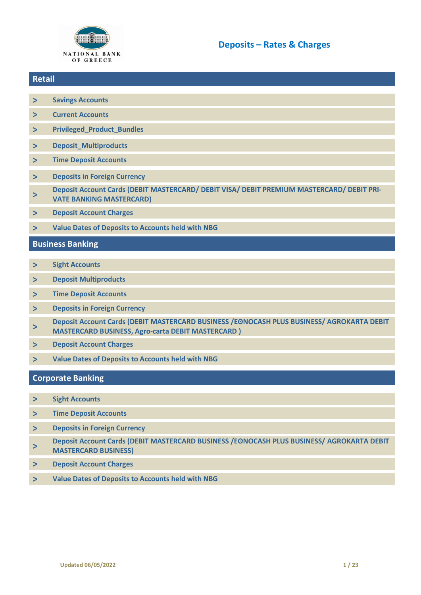

### **Retail**

- **> [Savings Accounts](#page-1-0)**
- **> [Current Accounts](#page-1-1)**
- **> [Privileged\\_Product\\_Bundles](#page-2-0)**
- **> [Deposit\\_Multiproducts](#page-3-0)**
- **> [Time Deposit Accounts](#page-5-0)**
- **> [Deposits in Foreign Currency](#page-8-0)**
- **> [Deposit Account Cards \(DEBIT MASTERCARD/ DEBIT VISA/ DEBIT PREMIUM MASTERCARD/ DEBIT PRI-](#page-9-0)[VATE BANKING MASTERCARD\)](#page-9-0)**
- **> [Deposit Account Charges](#page-14-0)**
- **> [Value Dates of Deposits to Accounts held with NBG](#page-3-0)**

### **Business Banking**

- **> [Sight Accounts](#page-5-1)**
- **> [Deposit Multiproducts](#page-5-1)**
- **> [Time Deposit Accounts](#page-6-0)**
- **> [Deposits in Foreign Currency](#page-8-0)**
- **> Deposit Account Cards (DEBIT [MASTERCARD BUSINESS /ΕΘΝΟCASH PLUS BUSINESS/ AGROKARTA DEBIT](#page-11-0)  MASTERCARD BUSINESS, [Agro-carta DEBIT MASTERCARD](#page-11-0) )**
- **> [Deposit Account Charges](#page-14-0)**
- **> [Value Dates of Deposits to Accounts held with NBG](#page-3-0)**

### **Corporate Banking**

- **> [Sight Accounts](#page-7-0)**
- **> [Time Deposit Accounts](#page-7-0)**
- **> [Deposits in Foreign Currency](#page-8-0)**
- **> Deposit Account Cards (DEBIT MASTERCARD BUSINESS /ΕΘΝΟCASH PLUS BUSINESS/ AGROKARTA DEBIT MASTERCARD BUSINESS)**
- **> [Deposit Account Charges](#page-16-0)**
- **> [Value Dates of Deposits to Accounts held with NBG](#page-3-0)**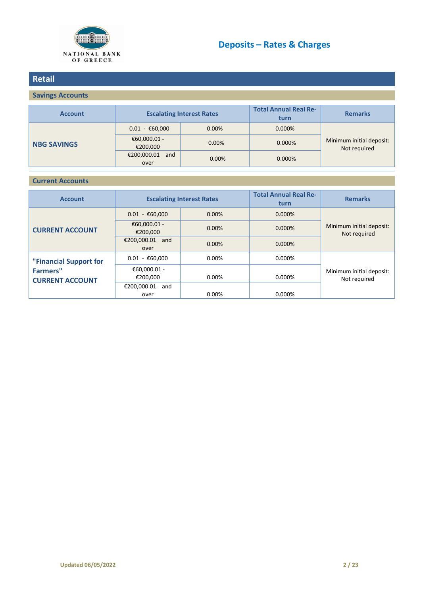

## <span id="page-1-0"></span>**Retail**

## **Savings Accounts**

| <b>Account</b>     | <b>Escalating Interest Rates</b>    |          | <b>Total Annual Real Re-</b><br>turn | <b>Remarks</b>                           |
|--------------------|-------------------------------------|----------|--------------------------------------|------------------------------------------|
| <b>NBG SAVINGS</b> | $0.01 - \text{\textsterling}60,000$ | $0.00\%$ | 0.000%                               |                                          |
|                    | €60,000.01 -<br>€200,000            | 0.00%    | 0.000%                               | Minimum initial deposit:<br>Not required |
|                    | €200,000.01<br>and<br>over          | 0.00%    | 0.000%                               |                                          |

#### <span id="page-1-1"></span>**Current Accounts**

| <b>Account</b>                            | <b>Escalating Interest Rates</b>    |          | <b>Total Annual Real Re-</b><br>turn | <b>Remarks</b>                           |
|-------------------------------------------|-------------------------------------|----------|--------------------------------------|------------------------------------------|
|                                           | $0.01 - \text{\textsterling}60,000$ | 0.00%    | 0.000%                               |                                          |
| <b>CURRENT ACCOUNT</b>                    | €60,000.01 -<br>€200,000            | $0.00\%$ | 0.000%                               | Minimum initial deposit:<br>Not required |
|                                           | €200,000.01<br>and<br>over          | 0.00%    | 0.000%                               |                                          |
| "Financial Support for                    | $0.01 - \text{\textsterling}60,000$ | $0.00\%$ | 0.000%                               |                                          |
| <b>Farmers"</b><br><b>CURRENT ACCOUNT</b> | €60,000.01 -<br>€200,000            | $0.00\%$ | 0.000%                               | Minimum initial deposit:<br>Not required |
|                                           | €200,000.01<br>and<br>over          | 0.00%    | 0.000%                               |                                          |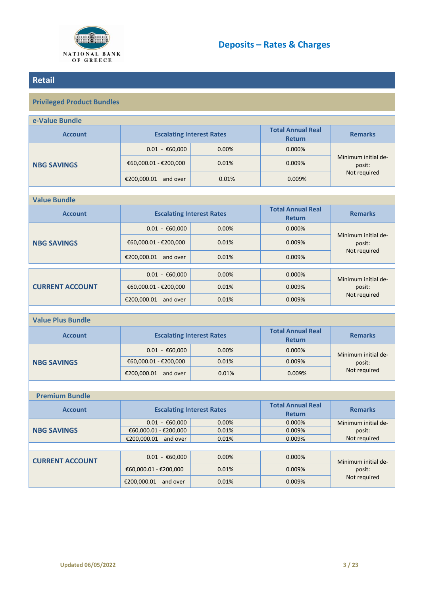

## <span id="page-2-0"></span>**Retail**

## **Privileged Product Bundles**

| e-Value Bundle           |                                     |                                  |                                           |                               |  |
|--------------------------|-------------------------------------|----------------------------------|-------------------------------------------|-------------------------------|--|
| <b>Account</b>           |                                     | <b>Escalating Interest Rates</b> | <b>Total Annual Real</b><br><b>Return</b> | <b>Remarks</b>                |  |
|                          | $0.01 - \text{\textsterling}60,000$ | 0.00%                            | 0.000%                                    |                               |  |
| <b>NBG SAVINGS</b>       | €60,000.01 - €200,000               | 0.01%                            | 0.009%                                    | Minimum initial de-<br>posit: |  |
|                          | €200,000.01 and over                | 0.01%                            | 0.009%                                    | Not required                  |  |
|                          |                                     |                                  |                                           |                               |  |
| <b>Value Bundle</b>      |                                     |                                  |                                           |                               |  |
| <b>Account</b>           | <b>Escalating Interest Rates</b>    |                                  | <b>Total Annual Real</b><br><b>Return</b> | <b>Remarks</b>                |  |
|                          | $0.01 - \text{\textsterling}60,000$ | 0.00%                            | 0.000%                                    |                               |  |
| <b>NBG SAVINGS</b>       | €60,000.01 - €200,000               | 0.01%                            | 0.009%                                    | Minimum initial de-<br>posit: |  |
|                          | €200,000.01 and over                | 0.01%                            | 0.009%                                    | Not required                  |  |
| <b>CURRENT ACCOUNT</b>   | $0.01 - \text{\textsterling}60,000$ | 0.00%                            | 0.000%                                    | Minimum initial de-           |  |
|                          | €60,000.01 - €200,000               | 0.01%                            | 0.009%                                    | posit:                        |  |
|                          | €200,000.01 and over                | 0.01%                            | 0.009%                                    | Not required                  |  |
|                          |                                     |                                  |                                           |                               |  |
| <b>Value Plus Bundle</b> |                                     |                                  |                                           |                               |  |
| <b>Account</b>           |                                     | <b>Escalating Interest Rates</b> | <b>Total Annual Real</b><br><b>Return</b> | <b>Remarks</b>                |  |
|                          | $0.01 - \text{\textsterling}60,000$ | 0.00%                            | 0.000%                                    | Minimum initial de-           |  |
| <b>NBG SAVINGS</b>       | €60,000.01 - €200,000               | 0.01%                            | 0.009%                                    | posit:                        |  |
|                          | €200,000.01 and over                | 0.01%                            | 0.009%                                    | Not required                  |  |
|                          |                                     |                                  |                                           |                               |  |
| <b>Premium Bundle</b>    |                                     |                                  |                                           |                               |  |
| <b>Account</b>           | <b>Escalating Interest Rates</b>    |                                  | <b>Total Annual Real</b><br><b>Return</b> | <b>Remarks</b>                |  |
| <b>NBG SAVINGS</b>       | $0.01 - \text{\textsterling}60,000$ | 0.00%                            | 0.000%                                    | Minimum initial de-           |  |
|                          | €60,000.01 - €200,000               | 0.01%                            | 0.009%                                    | posit:                        |  |
|                          | €200,000.01 and over                | 0.01%                            | 0.009%                                    | Not required                  |  |
| <b>CURRENT ACCOUNT</b>   | $0.01 - \text{\textsterling}60,000$ | 0.00%                            | 0.000%                                    | Minimum initial de-           |  |
|                          | €60,000.01 - €200,000               | 0.01%                            | 0.009%                                    | posit:                        |  |

€200,000.01 and over 0.01% 0.01% 0.009%

posit: Not required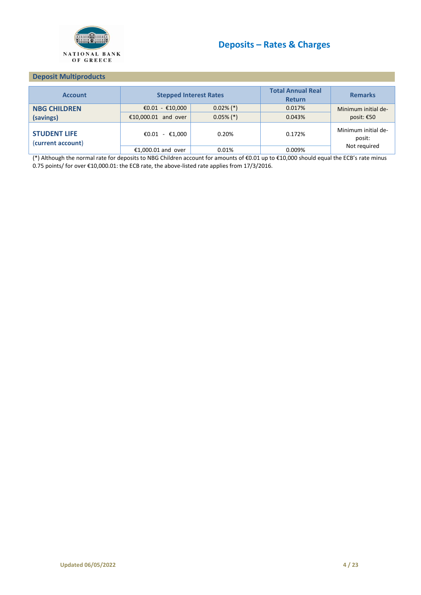

#### <span id="page-3-0"></span>**Deposit Multiproducts**

| <b>Account</b>                           | <b>Stepped Interest Rates</b> |              | <b>Total Annual Real</b><br><b>Return</b> | <b>Remarks</b>                |
|------------------------------------------|-------------------------------|--------------|-------------------------------------------|-------------------------------|
| <b>NBG CHILDREN</b>                      | €0.01 - €10,000               | $0.02\%$ (*) | 0.017%                                    | Minimum initial de-           |
| (savings)                                | €10,000.01 and over           | $0.05\%$ (*) | 0.043%                                    | posit: €50                    |
| <b>STUDENT LIFE</b><br>(current account) | €0.01 - €1.000                | 0.20%        | 0.172%                                    | Minimum initial de-<br>posit: |
|                                          | €1,000.01 and over            | 0.01%        | 0.009%                                    | Not required                  |

(\*) Although the normal rate for deposits to NBG Children account for amounts of €0.01 up to €10,000 should equal the ECB's rate minus 0.75 points/ for over €10,000.01: the ECB rate, the above-listed rate applies from 17/3/2016.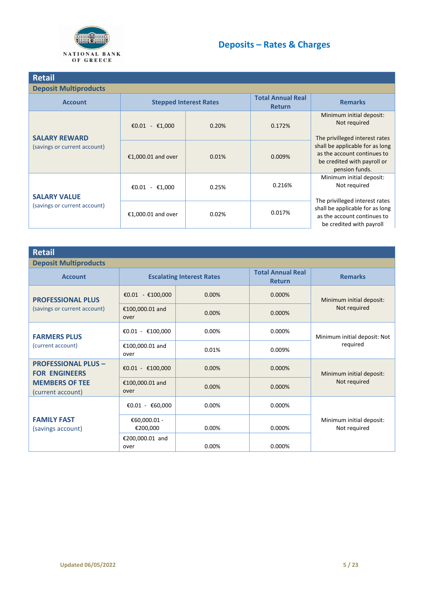

| <b>Retail</b>                                        |                               |       |                                           |                                                                                                                 |  |  |
|------------------------------------------------------|-------------------------------|-------|-------------------------------------------|-----------------------------------------------------------------------------------------------------------------|--|--|
| <b>Deposit Multiproducts</b>                         |                               |       |                                           |                                                                                                                 |  |  |
| <b>Account</b>                                       | <b>Stepped Interest Rates</b> |       | <b>Total Annual Real</b><br><b>Return</b> | <b>Remarks</b>                                                                                                  |  |  |
| <b>SALARY REWARD</b><br>(savings or current account) | €0.01 - €1,000                | 0.20% | 0.172%                                    | Minimum initial deposit:<br>Not required<br>The privilleged interest rates                                      |  |  |
|                                                      | €1,000.01 and over            | 0.01% | 0.009%                                    | shall be applicable for as long<br>as the account continues to<br>be credited with payroll or<br>pension funds. |  |  |
| <b>SALARY VALUE</b><br>(savings or current account)  | €0.01 - €1,000                | 0.25% | 0.216%                                    | Minimum initial deposit:<br>Not required<br>The privilleged interest rates                                      |  |  |
|                                                      | €1,000.01 and over            | 0.02% | 0.017%                                    | shall be applicable for as long<br>as the account continues to<br>be credited with payroll                      |  |  |

| Retail                                             |                          |                                  |                                           |                                          |
|----------------------------------------------------|--------------------------|----------------------------------|-------------------------------------------|------------------------------------------|
| <b>Deposit Multiproducts</b>                       |                          |                                  |                                           |                                          |
| <b>Account</b>                                     |                          | <b>Escalating Interest Rates</b> | <b>Total Annual Real</b><br><b>Return</b> | <b>Remarks</b>                           |
| <b>PROFESSIONAL PLUS</b>                           | €0.01 - €100,000         | 0.00%                            | 0.000%                                    | Minimum initial deposit:                 |
| (savings or current account)                       | €100,000.01 and<br>over  | 0.00%                            | 0.000%                                    | Not required                             |
| <b>FARMERS PLUS</b>                                | €0.01 - €100,000         | 0.00%                            | 0.000%                                    | Minimum initial deposit: Not<br>required |
| (current account)                                  | €100,000.01 and<br>over  | 0.01%                            | 0.009%                                    |                                          |
| <b>PROFESSIONAL PLUS -</b><br><b>FOR ENGINEERS</b> | €0.01 - €100,000         | 0.00%                            | 0.000%                                    | Minimum initial deposit:<br>Not required |
| <b>MEMBERS OF TEE</b><br>(current account)         | €100,000.01 and<br>over  | 0.00%                            | 0.000%                                    |                                          |
|                                                    | €0.01 - €60,000          | $0.00\%$                         | 0.000%                                    |                                          |
| <b>FAMILY FAST</b><br>(savings account)            | €60,000.01 -<br>€200,000 | 0.00%                            | 0.000%                                    | Minimum initial deposit:<br>Not required |
|                                                    | €200,000.01 and<br>over  | $0.00\%$                         | 0.000%                                    |                                          |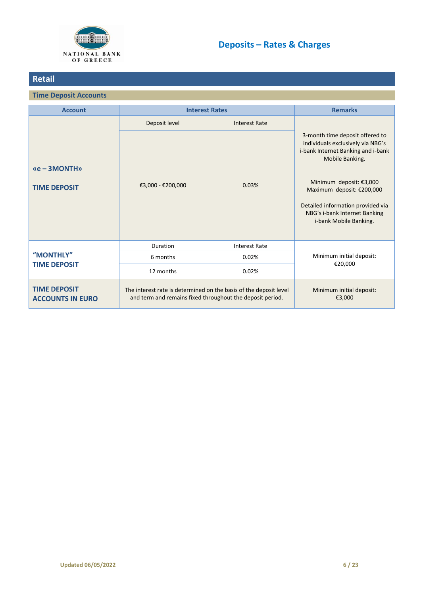

## **Retail**

## <span id="page-5-0"></span>**Time Deposit Accounts**

<span id="page-5-1"></span>

| <b>Account</b>                                 | <b>Interest Rates</b>                                                                                                          |                                    | <b>Remarks</b>                                                                                                                                                                                                                                                                        |
|------------------------------------------------|--------------------------------------------------------------------------------------------------------------------------------|------------------------------------|---------------------------------------------------------------------------------------------------------------------------------------------------------------------------------------------------------------------------------------------------------------------------------------|
|                                                | Deposit level                                                                                                                  | <b>Interest Rate</b>               |                                                                                                                                                                                                                                                                                       |
| $xe - 3MONTHw$<br><b>TIME DEPOSIT</b>          | €3,000 - €200,000                                                                                                              | 0.03%                              | 3-month time deposit offered to<br>individuals exclusively via NBG's<br>i-bank Internet Banking and i-bank<br>Mobile Banking.<br>Minimum deposit: €3,000<br>Maximum deposit: €200,000<br>Detailed information provided via<br>NBG's i-bank Internet Banking<br>i-bank Mobile Banking. |
|                                                | Duration                                                                                                                       | <b>Interest Rate</b>               |                                                                                                                                                                                                                                                                                       |
| "MONTHLY"                                      | 6 months                                                                                                                       | 0.02%                              | Minimum initial deposit:                                                                                                                                                                                                                                                              |
| <b>TIME DEPOSIT</b>                            | 12 months<br>0.02%                                                                                                             |                                    | €20,000                                                                                                                                                                                                                                                                               |
| <b>TIME DEPOSIT</b><br><b>ACCOUNTS IN EURO</b> | The interest rate is determined on the basis of the deposit level<br>and term and remains fixed throughout the deposit period. | Minimum initial deposit:<br>€3,000 |                                                                                                                                                                                                                                                                                       |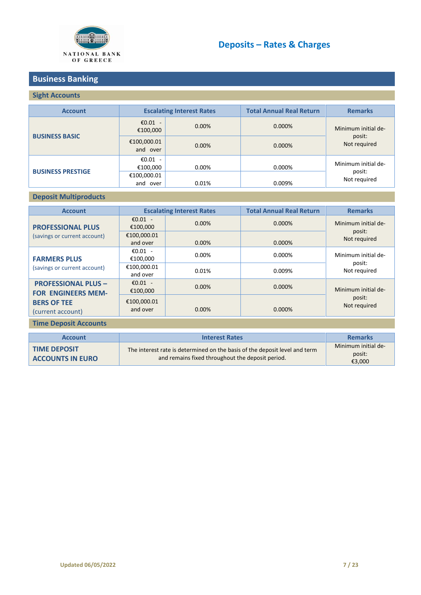

## **Business Banking**

## **Sight Accounts**

| <b>Account</b>           | <b>Escalating Interest Rates</b> |          | <b>Total Annual Real Return</b> | <b>Remarks</b>                |  |
|--------------------------|----------------------------------|----------|---------------------------------|-------------------------------|--|
|                          | € $0.01 -$<br>€100,000           | $0.00\%$ | 0.000%                          | Minimum initial de-           |  |
| <b>BUSINESS BASIC</b>    | €100,000.01<br>and over          | 0.00%    | 0.000%                          | posit:<br>Not required        |  |
| <b>BUSINESS PRESTIGE</b> | €0.01 -<br>€100,000              | 0.00%    | 0.000%                          | Minimum initial de-<br>posit: |  |
|                          | €100,000.01<br>and<br>over       | 0.01%    | 0.009%                          | Not required                  |  |

### **Deposit Multiproducts**

| <b>Account</b>                                          |                         | <b>Escalating Interest Rates</b> | <b>Total Annual Real Return</b> | <b>Remarks</b>         |
|---------------------------------------------------------|-------------------------|----------------------------------|---------------------------------|------------------------|
| <b>PROFESSIONAL PLUS</b>                                | €0.01 -<br>€100.000     | $0.00\%$                         | $0.000\%$                       | Minimum initial de-    |
| (savings or current account)                            | €100,000.01<br>and over | $0.00\%$                         | $0.000\%$                       | posit:<br>Not required |
| <b>FARMERS PLUS</b>                                     | €0.01 -<br>€100.000     | 0.00%                            | $0.000\%$                       | Minimum initial de-    |
| (savings or current account)                            | €100,000.01<br>and over | 0.01%                            | 0.009%                          | posit:<br>Not required |
| <b>PROFESSIONAL PLUS -</b><br><b>FOR ENGINEERS MEM-</b> | €0.01 -<br>€100,000     | $0.00\%$                         | $0.000\%$                       | Minimum initial de-    |
| <b>BERS OF TEE</b><br>(current account)                 | €100.000.01<br>and over | $0.00\%$                         | 0.000%                          | posit:<br>Not required |

### <span id="page-6-0"></span>**Time Deposit Accounts**

| <b>Account</b>                                 | <b>Interest Rates</b>                                                                                                          | <b>Remarks</b>                          |
|------------------------------------------------|--------------------------------------------------------------------------------------------------------------------------------|-----------------------------------------|
| <b>TIME DEPOSIT</b><br><b>ACCOUNTS IN EURO</b> | The interest rate is determined on the basis of the deposit level and term<br>and remains fixed throughout the deposit period. | Minimum initial de-<br>posit:<br>€3,000 |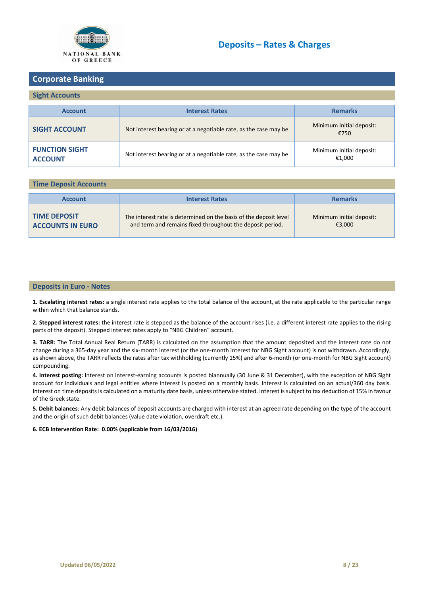

## <span id="page-7-0"></span>**Corporate Banking**

#### **Sight Accounts**

| <b>Account</b>                          | <b>Interest Rates</b>                                            | <b>Remarks</b>                     |
|-----------------------------------------|------------------------------------------------------------------|------------------------------------|
| <b>SIGHT ACCOUNT</b>                    | Not interest bearing or at a negotiable rate, as the case may be | Minimum initial deposit:<br>€750   |
| <b>FUNCTION SIGHT</b><br><b>ACCOUNT</b> | Not interest bearing or at a negotiable rate, as the case may be | Minimum initial deposit:<br>€1,000 |

#### **Time Deposit Accounts**

| <b>Account</b>                                 | <b>Interest Rates</b>                                                                                                          | <b>Remarks</b>                     |
|------------------------------------------------|--------------------------------------------------------------------------------------------------------------------------------|------------------------------------|
| <b>TIME DEPOSIT</b><br><b>ACCOUNTS IN EURO</b> | The interest rate is determined on the basis of the deposit level<br>and term and remains fixed throughout the deposit period. | Minimum initial deposit:<br>€3.000 |

#### **Deposits in Euro - Notes**

**1. Escalating interest rates:** a single interest rate applies to the total balance of the account, at the rate applicable to the particular range within which that balance stands.

**2. Stepped interest rates:** the interest rate is stepped as the balance of the account rises (i.e. a different interest rate applies to the rising parts of the deposit). Stepped interest rates apply to "NBG Children" account.

**3. TARR:** The Total Annual Real Return (TARR) is calculated on the assumption that the amount deposited and the interest rate do not change during a 365-day year and the six-month interest (or the one-month interest for NBG Sight account) is not withdrawn. Accordingly, as shown above, the TARR reflects the rates after tax withholding (currently 15%) and after 6-month (or one-month for NBG Sight account) compounding.

**4. Interest posting:** Interest on interest-earning accounts is posted biannually (30 June & 31 December), with the exception of NBG Sight account for individuals and legal entities where interest is posted on a monthly basis. Interest is calculated on an actual/360 day basis. Interest on time depositsis calculated on a maturity date basis, unless otherwise stated. Interest is subject to tax deduction of 15% in favour of the Greek state.

**5. Debit balances**: Any debit balances of deposit accounts are charged with interest at an agreed rate depending on the type of the account and the origin of such debit balances (value date violation, overdraft etc.).

#### **6. ECB Intervention Rate: 0.00% (applicable from 16/03/2016)**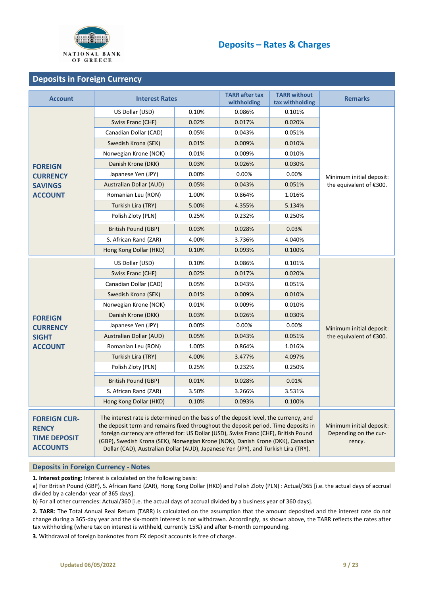

### <span id="page-8-0"></span>**Deposits in Foreign Currency**

| <b>Account</b>                                                                | <b>Interest Rates</b>                                                                                                                                                                                                                                                                                                                                                                                                                      |                                                             | <b>TARR</b> after tax<br>withholding | <b>TARR without</b><br>tax withholding | <b>Remarks</b>           |  |
|-------------------------------------------------------------------------------|--------------------------------------------------------------------------------------------------------------------------------------------------------------------------------------------------------------------------------------------------------------------------------------------------------------------------------------------------------------------------------------------------------------------------------------------|-------------------------------------------------------------|--------------------------------------|----------------------------------------|--------------------------|--|
|                                                                               | US Dollar (USD)                                                                                                                                                                                                                                                                                                                                                                                                                            | 0.10%                                                       | 0.086%                               | 0.101%                                 |                          |  |
|                                                                               | Swiss Franc (CHF)                                                                                                                                                                                                                                                                                                                                                                                                                          | 0.02%                                                       | 0.017%                               | 0.020%                                 |                          |  |
|                                                                               | Canadian Dollar (CAD)                                                                                                                                                                                                                                                                                                                                                                                                                      | 0.05%                                                       | 0.043%                               | 0.051%                                 |                          |  |
|                                                                               | Swedish Krona (SEK)                                                                                                                                                                                                                                                                                                                                                                                                                        | 0.01%                                                       | 0.009%                               | 0.010%                                 |                          |  |
|                                                                               | Norwegian Krone (NOK)                                                                                                                                                                                                                                                                                                                                                                                                                      | 0.01%                                                       | 0.009%                               | 0.010%                                 |                          |  |
| <b>FOREIGN</b>                                                                | Danish Krone (DKK)                                                                                                                                                                                                                                                                                                                                                                                                                         | 0.03%                                                       | 0.026%                               | 0.030%                                 |                          |  |
| <b>CURRENCY</b>                                                               | Japanese Yen (JPY)                                                                                                                                                                                                                                                                                                                                                                                                                         | 0.00%                                                       | 0.00%                                | 0.00%                                  | Minimum initial deposit: |  |
| <b>SAVINGS</b>                                                                | <b>Australian Dollar (AUD)</b>                                                                                                                                                                                                                                                                                                                                                                                                             | 0.05%                                                       | 0.043%                               | 0.051%                                 | the equivalent of €300.  |  |
| <b>ACCOUNT</b>                                                                | Romanian Leu (RON)                                                                                                                                                                                                                                                                                                                                                                                                                         | 1.00%                                                       | 0.864%                               | 1.016%                                 |                          |  |
|                                                                               | Turkish Lira (TRY)                                                                                                                                                                                                                                                                                                                                                                                                                         | 5.00%                                                       | 4.355%                               | 5.134%                                 |                          |  |
|                                                                               | Polish Zloty (PLN)                                                                                                                                                                                                                                                                                                                                                                                                                         | 0.25%                                                       | 0.232%                               | 0.250%                                 |                          |  |
|                                                                               | <b>British Pound (GBP)</b>                                                                                                                                                                                                                                                                                                                                                                                                                 | 0.03%                                                       | 0.028%                               | 0.03%                                  |                          |  |
|                                                                               | S. African Rand (ZAR)                                                                                                                                                                                                                                                                                                                                                                                                                      | 4.00%                                                       | 3.736%                               | 4.040%                                 |                          |  |
|                                                                               | Hong Kong Dollar (HKD)                                                                                                                                                                                                                                                                                                                                                                                                                     | 0.10%                                                       | 0.093%                               | 0.100%                                 |                          |  |
|                                                                               | US Dollar (USD)                                                                                                                                                                                                                                                                                                                                                                                                                            | 0.10%                                                       | 0.086%                               | 0.101%                                 |                          |  |
|                                                                               | Swiss Franc (CHF)                                                                                                                                                                                                                                                                                                                                                                                                                          | 0.02%                                                       | 0.017%                               | 0.020%                                 |                          |  |
|                                                                               | Canadian Dollar (CAD)                                                                                                                                                                                                                                                                                                                                                                                                                      | 0.05%                                                       | 0.043%                               | 0.051%                                 |                          |  |
|                                                                               | Swedish Krona (SEK)                                                                                                                                                                                                                                                                                                                                                                                                                        | 0.01%                                                       | 0.009%                               | 0.010%                                 |                          |  |
|                                                                               | Norwegian Krone (NOK)                                                                                                                                                                                                                                                                                                                                                                                                                      | 0.01%                                                       | 0.009%                               | 0.010%                                 |                          |  |
| <b>FOREIGN</b>                                                                | Danish Krone (DKK)                                                                                                                                                                                                                                                                                                                                                                                                                         | 0.03%                                                       | 0.026%                               | 0.030%                                 |                          |  |
| <b>CURRENCY</b>                                                               | Japanese Yen (JPY)                                                                                                                                                                                                                                                                                                                                                                                                                         | 0.00%                                                       | 0.00%                                | 0.00%                                  | Minimum initial deposit: |  |
| <b>SIGHT</b>                                                                  | <b>Australian Dollar (AUD)</b>                                                                                                                                                                                                                                                                                                                                                                                                             | 0.05%                                                       | 0.043%                               | 0.051%                                 | the equivalent of €300.  |  |
| <b>ACCOUNT</b>                                                                | Romanian Leu (RON)                                                                                                                                                                                                                                                                                                                                                                                                                         | 1.00%                                                       | 0.864%                               | 1.016%                                 |                          |  |
|                                                                               | Turkish Lira (TRY)                                                                                                                                                                                                                                                                                                                                                                                                                         | 4.00%                                                       | 3.477%                               | 4.097%                                 |                          |  |
|                                                                               | Polish Zloty (PLN)                                                                                                                                                                                                                                                                                                                                                                                                                         | 0.25%                                                       | 0.232%                               | 0.250%                                 |                          |  |
|                                                                               | <b>British Pound (GBP)</b>                                                                                                                                                                                                                                                                                                                                                                                                                 | 0.01%                                                       | 0.028%                               | 0.01%                                  |                          |  |
|                                                                               | S. African Rand (ZAR)                                                                                                                                                                                                                                                                                                                                                                                                                      | 3.50%                                                       | 3.266%                               | 3.531%                                 |                          |  |
|                                                                               | Hong Kong Dollar (HKD)                                                                                                                                                                                                                                                                                                                                                                                                                     | 0.10%                                                       | 0.093%                               | 0.100%                                 |                          |  |
| <b>FOREIGN CUR-</b><br><b>RENCY</b><br><b>TIME DEPOSIT</b><br><b>ACCOUNTS</b> | The interest rate is determined on the basis of the deposit level, the currency, and<br>the deposit term and remains fixed throughout the deposit period. Time deposits in<br>foreign currency are offered for: US Dollar (USD), Swiss Franc (CHF), British Pound<br>(GBP), Swedish Krona (SEK), Norwegian Krone (NOK), Danish Krone (DKK), Canadian<br>Dollar (CAD), Australian Dollar (AUD), Japanese Yen (JPY), and Turkish Lira (TRY). | Minimum initial deposit:<br>Depending on the cur-<br>rency. |                                      |                                        |                          |  |

#### **Deposits in Foreign Currency - Notes**

**1. Interest posting:** Interest is calculated on the following basis:

a) For British Pound (GBP), S. African Rand (ZAR), Hong Kong Dollar (HKD) and Polish Zloty (PLN) : Actual/365 [i.e. the actual days of accrual divided by a calendar year of 365 days].

b) For all other currencies: Actual/360 [i.e. the actual days of accrual divided by a business year of 360 days].

**2. TARR:** The Total Annual Real Return (TARR) is calculated on the assumption that the amount deposited and the interest rate do not change during a 365-day year and the six-month interest is not withdrawn. Accordingly, as shown above, the TARR reflects the rates after tax withholding (where tax on interest is withheld, currently 15%) and after 6-month compounding.

**3.** Withdrawal of foreign banknotes from FX deposit accounts is free of charge.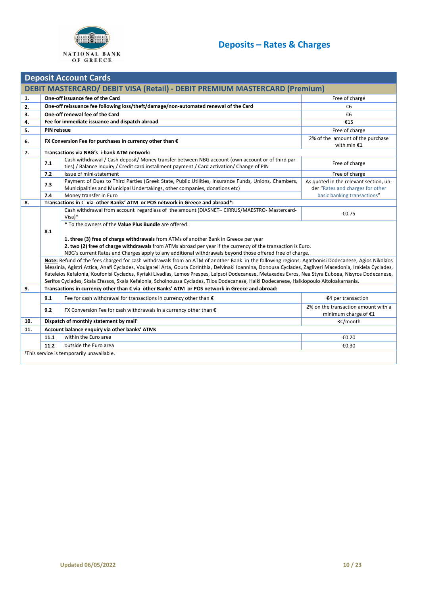

<span id="page-9-0"></span>

|          | <b>Deposit Account Cards</b>                                               |                                                                                                                                                                                                                         |                                                             |  |  |  |  |
|----------|----------------------------------------------------------------------------|-------------------------------------------------------------------------------------------------------------------------------------------------------------------------------------------------------------------------|-------------------------------------------------------------|--|--|--|--|
|          | DEBIT MASTERCARD/ DEBIT VISA (Retail) - DEBIT PREMIUM MASTERCARD (Premium) |                                                                                                                                                                                                                         |                                                             |  |  |  |  |
| 1.       | One-off issuance fee of the Card<br>Free of charge                         |                                                                                                                                                                                                                         |                                                             |  |  |  |  |
|          |                                                                            | One-off reissuance fee following loss/theft/damage/non-automated renewal of the Card                                                                                                                                    | €6                                                          |  |  |  |  |
| 2.<br>3. |                                                                            | One-off renewal fee of the Card                                                                                                                                                                                         | €6                                                          |  |  |  |  |
| 4.       |                                                                            | Fee for immediate issuance and dispatch abroad                                                                                                                                                                          | €15                                                         |  |  |  |  |
|          | <b>PIN reissue</b>                                                         |                                                                                                                                                                                                                         |                                                             |  |  |  |  |
| 5.       |                                                                            |                                                                                                                                                                                                                         | Free of charge                                              |  |  |  |  |
| 6.       |                                                                            | FX Conversion Fee for purchases in currency other than $\epsilon$                                                                                                                                                       | 2% of the amount of the purchase<br>with min $£1$           |  |  |  |  |
| 7.       |                                                                            | Transactions via NBG's i-bank ATM network:                                                                                                                                                                              |                                                             |  |  |  |  |
|          | 7.1                                                                        | Cash withdrawal / Cash deposit/ Money transfer between NBG account (own account or of third par-<br>ties) / Balance inquiry / Credit card installment payment / Card activation/ Change of PIN                          | Free of charge                                              |  |  |  |  |
|          | 7.2                                                                        | Issue of mini-statement                                                                                                                                                                                                 | Free of charge                                              |  |  |  |  |
|          | 7.3                                                                        | Payment of Dues to Third Parties (Greek State, Public Utilities, Insurance Funds, Unions, Chambers,                                                                                                                     | As quoted in the relevant section, un-                      |  |  |  |  |
|          |                                                                            | Municipalities and Municipal Undertakings, other companies, donations etc)                                                                                                                                              | der "Rates and charges for other                            |  |  |  |  |
|          | 7.4                                                                        | Money transfer in Euro                                                                                                                                                                                                  | basic banking transactions"                                 |  |  |  |  |
| 8.       |                                                                            | Transactions in € via other Banks' ATM or POS network in Greece and abroad*:                                                                                                                                            |                                                             |  |  |  |  |
|          |                                                                            | Cash withdrawal from account regardless of the amount (DIASNET-CIRRUS/MAESTRO-Mastercard-<br>$Visa)*$                                                                                                                   | €0.75                                                       |  |  |  |  |
|          |                                                                            | * To the owners of the Value Plus Bundle are offered:                                                                                                                                                                   |                                                             |  |  |  |  |
|          | 8.1                                                                        |                                                                                                                                                                                                                         |                                                             |  |  |  |  |
|          |                                                                            | 1. three (3) free of charge withdrawals from ATMs of another Bank in Greece per year                                                                                                                                    |                                                             |  |  |  |  |
|          |                                                                            | 2. two (2) free of charge withdrawals from ATMs abroad per year if the currency of the transaction is Euro.<br>NBG's current Rates and Charges apply to any additional withdrawals beyond those offered free of charge. |                                                             |  |  |  |  |
|          |                                                                            | Note: Refund of the fees charged for cash withdrawals from an ATM of another Bank in the following regions: Agathonisi Dodecanese, Agios Nikolaos                                                                       |                                                             |  |  |  |  |
|          |                                                                            | Messinia, Agistri Attica, Anafi Cyclades, Voulgareli Arta, Goura Corinthia, Delvinaki Ioannina, Donousa Cyclades, Zagliveri Macedonia, Irakleia Cyclades,                                                               |                                                             |  |  |  |  |
|          |                                                                            | Kateleios Kefalonia, Koufonisi Cyclades, Kyriaki Livadias, Lemos Prespes, Leipsoi Dodecanese, Metaxades Evros, Nea Styra Euboea, Nisyros Dodecanese,                                                                    |                                                             |  |  |  |  |
|          |                                                                            | Serifos Cyclades, Skala Efessos, Skala Kefalonia, Schoinoussa Cyclades, Tilos Dodecanese, Halki Dodecanese, Halkiopoulo Aitoloakarnania.                                                                                |                                                             |  |  |  |  |
| 9.       |                                                                            | Transactions in currency other than € via other Banks' ATM or POS network in Greece and abroad:                                                                                                                         |                                                             |  |  |  |  |
|          | 9.1                                                                        | Fee for cash withdrawal for transactions in currency other than $\epsilon$                                                                                                                                              | €4 per transaction                                          |  |  |  |  |
|          | 9.2                                                                        | FX Conversion Fee for cash withdrawals in a currency other than $\epsilon$                                                                                                                                              | 2% on the transaction amount with a<br>minimum charge of €1 |  |  |  |  |
| 10.      |                                                                            | Dispatch of monthly statement by mail <sup>1</sup>                                                                                                                                                                      | 3€/month                                                    |  |  |  |  |
| 11.      |                                                                            | Account balance enquiry via other banks' ATMs                                                                                                                                                                           |                                                             |  |  |  |  |
|          | 11.1                                                                       | within the Euro area                                                                                                                                                                                                    | €0.20                                                       |  |  |  |  |
|          | 11.2                                                                       | outside the Euro area                                                                                                                                                                                                   | €0.30                                                       |  |  |  |  |
|          |                                                                            | <sup>1</sup> This service is temporarily unavailable.                                                                                                                                                                   |                                                             |  |  |  |  |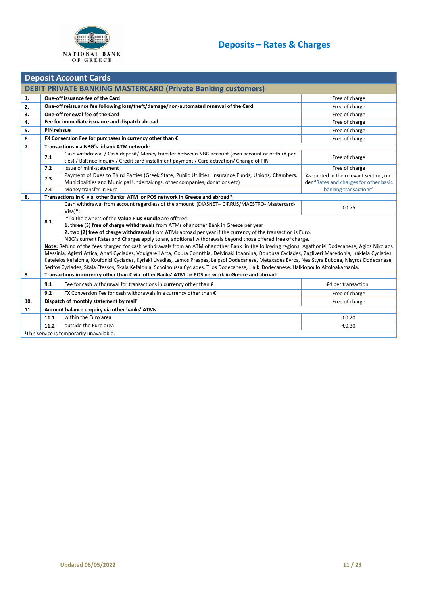

| <b>Deposit Account Cards</b> |                                                                     |                                                                                                                                                                                                                                                                                                                   |                                                                                  |  |  |  |  |
|------------------------------|---------------------------------------------------------------------|-------------------------------------------------------------------------------------------------------------------------------------------------------------------------------------------------------------------------------------------------------------------------------------------------------------------|----------------------------------------------------------------------------------|--|--|--|--|
|                              | <b>DEBIT PRIVATE BANKING MASTERCARD (Private Banking customers)</b> |                                                                                                                                                                                                                                                                                                                   |                                                                                  |  |  |  |  |
| 1.                           | One-off issuance fee of the Card<br>Free of charge                  |                                                                                                                                                                                                                                                                                                                   |                                                                                  |  |  |  |  |
| 2.                           |                                                                     | One-off reissuance fee following loss/theft/damage/non-automated renewal of the Card                                                                                                                                                                                                                              | Free of charge                                                                   |  |  |  |  |
| 3.                           |                                                                     | One-off renewal fee of the Card                                                                                                                                                                                                                                                                                   | Free of charge                                                                   |  |  |  |  |
| 4.                           |                                                                     | Fee for immediate issuance and dispatch abroad                                                                                                                                                                                                                                                                    | Free of charge                                                                   |  |  |  |  |
| 5.                           | <b>PIN reissue</b>                                                  |                                                                                                                                                                                                                                                                                                                   | Free of charge                                                                   |  |  |  |  |
| 6.                           |                                                                     | FX Conversion Fee for purchases in currency other than $\epsilon$                                                                                                                                                                                                                                                 | Free of charge                                                                   |  |  |  |  |
| 7.                           |                                                                     | Transactions via NBG's i-bank ATM network:                                                                                                                                                                                                                                                                        |                                                                                  |  |  |  |  |
|                              | 7.1                                                                 | Cash withdrawal / Cash deposit/ Money transfer between NBG account (own account or of third par-                                                                                                                                                                                                                  | Free of charge                                                                   |  |  |  |  |
|                              |                                                                     | ties) / Balance inquiry / Credit card installment payment / Card activation/ Change of PIN                                                                                                                                                                                                                        |                                                                                  |  |  |  |  |
|                              | 7.2                                                                 | Issue of mini-statement                                                                                                                                                                                                                                                                                           | Free of charge                                                                   |  |  |  |  |
|                              | 7.3                                                                 | Payment of Dues to Third Parties (Greek State, Public Utilities, Insurance Funds, Unions, Chambers,<br>Municipalities and Municipal Undertakings, other companies, donations etc)                                                                                                                                 | As quoted in the relevant section, un-<br>der "Rates and charges for other basic |  |  |  |  |
|                              | 7.4                                                                 | Money transfer in Euro                                                                                                                                                                                                                                                                                            | banking transactions"                                                            |  |  |  |  |
| 8.                           |                                                                     | Transactions in $\epsilon$ via other Banks' ATM or POS network in Greece and abroad*:                                                                                                                                                                                                                             |                                                                                  |  |  |  |  |
|                              |                                                                     | Cash withdrawal from account regardless of the amount (DIASNET-CIRRUS/MAESTRO-Mastercard-                                                                                                                                                                                                                         |                                                                                  |  |  |  |  |
|                              |                                                                     | $Visa$ <sup>*</sup> :                                                                                                                                                                                                                                                                                             | €0.75                                                                            |  |  |  |  |
|                              | 8.1                                                                 | *To the owners of the Value Plus Bundle are offered:                                                                                                                                                                                                                                                              |                                                                                  |  |  |  |  |
|                              |                                                                     | 1. three (3) free of charge withdrawals from ATMs of another Bank in Greece per year                                                                                                                                                                                                                              |                                                                                  |  |  |  |  |
|                              |                                                                     | 2. two (2) free of charge withdrawals from ATMs abroad per year if the currency of the transaction is Euro.                                                                                                                                                                                                       |                                                                                  |  |  |  |  |
|                              |                                                                     | NBG's current Rates and Charges apply to any additional withdrawals beyond those offered free of charge.                                                                                                                                                                                                          |                                                                                  |  |  |  |  |
|                              |                                                                     | Note: Refund of the fees charged for cash withdrawals from an ATM of another Bank in the following regions: Agathonisi Dodecanese, Agios Nikolaos                                                                                                                                                                 |                                                                                  |  |  |  |  |
|                              |                                                                     | Messinia, Agistri Attica, Anafi Cyclades, Voulgareli Arta, Goura Corinthia, Delvinaki Ioannina, Donousa Cyclades, Zagliveri Macedonia, Irakleia Cyclades,<br>Kateleios Kefalonia, Koufonisi Cyclades, Kyriaki Livadias, Lemos Prespes, Leipsoi Dodecanese, Metaxades Evros, Nea Styra Euboea, Nisyros Dodecanese, |                                                                                  |  |  |  |  |
|                              |                                                                     | Serifos Cyclades, Skala Efessos, Skala Kefalonia, Schoinoussa Cyclades, Tilos Dodecanese, Halki Dodecanese, Halkiopoulo Aitoloakarnania.                                                                                                                                                                          |                                                                                  |  |  |  |  |
| 9.                           |                                                                     | Transactions in currency other than € via other Banks' ATM or POS network in Greece and abroad:                                                                                                                                                                                                                   |                                                                                  |  |  |  |  |
|                              | 9.1                                                                 | Fee for cash withdrawal for transactions in currency other than $\epsilon$                                                                                                                                                                                                                                        | €4 per transaction                                                               |  |  |  |  |
|                              | 9.2                                                                 | FX Conversion Fee for cash withdrawals in a currency other than $\epsilon$                                                                                                                                                                                                                                        | Free of charge                                                                   |  |  |  |  |
| 10.                          |                                                                     | Dispatch of monthly statement by mail <sup>1</sup>                                                                                                                                                                                                                                                                | Free of charge                                                                   |  |  |  |  |
| 11.                          |                                                                     | Account balance enquiry via other banks' ATMs                                                                                                                                                                                                                                                                     |                                                                                  |  |  |  |  |
|                              | 11.1                                                                | within the Euro area                                                                                                                                                                                                                                                                                              | €0.20                                                                            |  |  |  |  |
|                              | 11.2                                                                | outside the Euro area                                                                                                                                                                                                                                                                                             | €0.30                                                                            |  |  |  |  |
|                              | <sup>1</sup> This service is temporarily unavailable.               |                                                                                                                                                                                                                                                                                                                   |                                                                                  |  |  |  |  |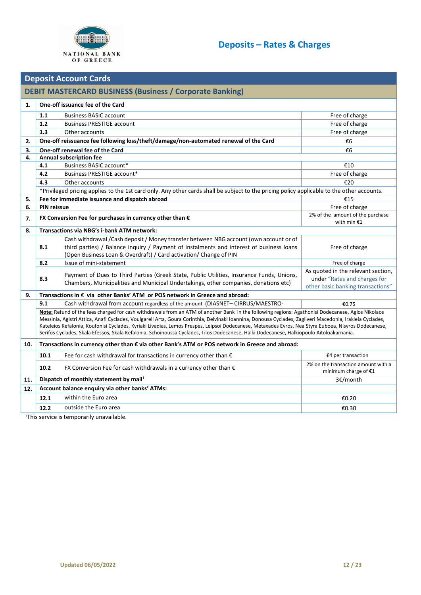

<span id="page-11-0"></span>

|     | <b>Deposit Account Cards</b>                                                                    |                                                                                                                                                                                                                                                                                                                   |                                                             |  |  |  |  |
|-----|-------------------------------------------------------------------------------------------------|-------------------------------------------------------------------------------------------------------------------------------------------------------------------------------------------------------------------------------------------------------------------------------------------------------------------|-------------------------------------------------------------|--|--|--|--|
|     | <b>DEBIT MASTERCARD BUSINESS (Business / Corporate Banking)</b>                                 |                                                                                                                                                                                                                                                                                                                   |                                                             |  |  |  |  |
| 1.  | One-off issuance fee of the Card                                                                |                                                                                                                                                                                                                                                                                                                   |                                                             |  |  |  |  |
|     | 1.1                                                                                             | <b>Business BASIC account</b>                                                                                                                                                                                                                                                                                     | Free of charge                                              |  |  |  |  |
|     | 1.2                                                                                             | <b>Business PRESTIGE account</b>                                                                                                                                                                                                                                                                                  | Free of charge                                              |  |  |  |  |
|     | 1.3                                                                                             | Other accounts                                                                                                                                                                                                                                                                                                    | Free of charge                                              |  |  |  |  |
| 2.  |                                                                                                 | One-off reissuance fee following loss/theft/damage/non-automated renewal of the Card                                                                                                                                                                                                                              | €6                                                          |  |  |  |  |
| 3.  |                                                                                                 | One-off renewal fee of the Card                                                                                                                                                                                                                                                                                   | €6                                                          |  |  |  |  |
| 4.  |                                                                                                 | <b>Annual subscription fee</b>                                                                                                                                                                                                                                                                                    |                                                             |  |  |  |  |
|     | 4.1                                                                                             | Business BASIC account*                                                                                                                                                                                                                                                                                           | €10                                                         |  |  |  |  |
|     | 4.2                                                                                             | Business PRESTIGE account*                                                                                                                                                                                                                                                                                        | Free of charge                                              |  |  |  |  |
|     | 4.3                                                                                             | Other accounts                                                                                                                                                                                                                                                                                                    | €20                                                         |  |  |  |  |
|     |                                                                                                 | *Privileged pricing applies to the 1st card only. Any other cards shall be subject to the pricing policy applicable to the other accounts.                                                                                                                                                                        |                                                             |  |  |  |  |
| 5.  |                                                                                                 | Fee for immediate issuance and dispatch abroad                                                                                                                                                                                                                                                                    | €15                                                         |  |  |  |  |
| 6.  | <b>PIN reissue</b>                                                                              |                                                                                                                                                                                                                                                                                                                   | Free of charge                                              |  |  |  |  |
| 7.  |                                                                                                 | FX Conversion Fee for purchases in currency other than $\epsilon$                                                                                                                                                                                                                                                 | 2% of the amount of the purchase<br>with min $£1$           |  |  |  |  |
| 8.  |                                                                                                 | <b>Transactions via NBG's i-bank ATM network:</b>                                                                                                                                                                                                                                                                 |                                                             |  |  |  |  |
|     |                                                                                                 | Cash withdrawal /Cash deposit / Money transfer between NBG account (own account or of                                                                                                                                                                                                                             |                                                             |  |  |  |  |
|     | 8.1                                                                                             | third parties) / Balance inquiry / Payment of instalments and interest of business loans                                                                                                                                                                                                                          | Free of charge                                              |  |  |  |  |
|     |                                                                                                 | (Open Business Loan & Overdraft) / Card activation/ Change of PIN                                                                                                                                                                                                                                                 |                                                             |  |  |  |  |
|     | 8.2                                                                                             | Issue of mini-statement                                                                                                                                                                                                                                                                                           | Free of charge                                              |  |  |  |  |
|     |                                                                                                 | Payment of Dues to Third Parties (Greek State, Public Utilities, Insurance Funds, Unions,                                                                                                                                                                                                                         | As quoted in the relevant section,                          |  |  |  |  |
|     | 8.3                                                                                             | Chambers, Municipalities and Municipal Undertakings, other companies, donations etc)                                                                                                                                                                                                                              | under "Rates and charges for                                |  |  |  |  |
|     |                                                                                                 |                                                                                                                                                                                                                                                                                                                   | other basic banking transactions"                           |  |  |  |  |
| 9.  |                                                                                                 | Transactions in € via other Banks' ATM or POS network in Greece and abroad:                                                                                                                                                                                                                                       |                                                             |  |  |  |  |
|     | 9.1                                                                                             | Cash withdrawal from account regardless of the amount (DIASNET-CIRRUS/MAESTRO-                                                                                                                                                                                                                                    | €0.75                                                       |  |  |  |  |
|     |                                                                                                 | Note: Refund of the fees charged for cash withdrawals from an ATM of another Bank in the following regions: Agathonisi Dodecanese, Agios Nikolaos                                                                                                                                                                 |                                                             |  |  |  |  |
|     |                                                                                                 | Messinia, Agistri Attica, Anafi Cyclades, Voulgareli Arta, Goura Corinthia, Delvinaki Ioannina, Donousa Cyclades, Zagliveri Macedonia, Irakleia Cyclades,<br>Kateleios Kefalonia, Koufonisi Cyclades, Kyriaki Livadias, Lemos Prespes, Leipsoi Dodecanese, Metaxades Evros, Nea Styra Euboea, Nisyros Dodecanese, |                                                             |  |  |  |  |
|     |                                                                                                 | Serifos Cyclades, Skala Efessos, Skala Kefalonia, Schoinoussa Cyclades, Tilos Dodecanese, Halki Dodecanese, Halkiopoulo Aitoloakarnania.                                                                                                                                                                          |                                                             |  |  |  |  |
| 10. | Transactions in currency other than € via other Bank's ATM or POS network in Greece and abroad: |                                                                                                                                                                                                                                                                                                                   |                                                             |  |  |  |  |
|     | 10.1                                                                                            | Fee for cash withdrawal for transactions in currency other than $\epsilon$                                                                                                                                                                                                                                        | €4 per transaction                                          |  |  |  |  |
|     | 10.2                                                                                            | FX Conversion Fee for cash withdrawals in a currency other than $\epsilon$                                                                                                                                                                                                                                        | 2% on the transaction amount with a<br>minimum charge of €1 |  |  |  |  |
| 11. |                                                                                                 | Dispatch of monthly statement by mail <sup>1</sup>                                                                                                                                                                                                                                                                | 3€/month                                                    |  |  |  |  |
| 12. |                                                                                                 | Account balance enquiry via other banks' ATMs:                                                                                                                                                                                                                                                                    |                                                             |  |  |  |  |
|     | 12.1                                                                                            | within the Euro area                                                                                                                                                                                                                                                                                              | €0.20                                                       |  |  |  |  |
|     | 12.2                                                                                            | outside the Euro area                                                                                                                                                                                                                                                                                             | €0.30                                                       |  |  |  |  |
|     |                                                                                                 | $1\nabla$                                                                                                                                                                                                                                                                                                         |                                                             |  |  |  |  |

<sup>1</sup>This service is temporarily unavailable.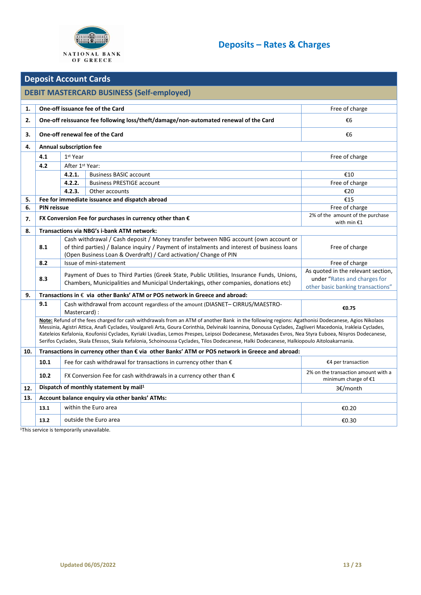

#### **Deposit Account Cards DEBIT MASTERCARD BUSINESS (Self-employed) 1. One-off issuance fee of the Card Free of charge Security 2.1 <b>Containers** Free of charge **Free of charge 2. One-off reissuance fee following loss/theft/damage/non-automated renewal of the Card** €6 **3. One-off renewal fee of the Card** €6 **4. Annual subscription fee 4.1** 1st Year Free of charge **4.2** After 1st Year: **4.2.1.** Business BASIC account €10 **4.2.2.** Business PRESTIGE account **Free of charge in the set of charge in the set of charge in the set of charge 4.2.3.** Other accounts  $\epsilon$  20 **5. Fee for immediate issuance and dispatch abroad** €15 **6. PIN reissue Free of charge Free of charge Free of charge Free of charge 7. FX Conversion Fee for purchases in currency other than €** 2% of the amount of the purchase with min €1 **8. Transactions via NBG's i-bank ATM network: 8.1** Cash withdrawal / Cash deposit / Money transfer between NBG account (own account or of third parties) / Balance inquiry / Payment of instalments and interest of business loans (Open Business Loan & Overdraft) / Card activation/ Change of PIN Free of charge **8.2** Issue of mini-statement **Free of charge** Free of charge **8.3** Payment of Dues to Third Parties (Greek State, Public Utilities, Insurance Funds, Unions, Chambers, Municipalities and Municipal Undertakings, other companies, donations etc) As quoted in the relevant section, under "[Rates and charges for](https://www.nbg.gr/english/pricing-of-products-and-services/Documents/Charges%20for%20Other%20Banking%20Transactions%5b2%5d/Other%20Banking%20Transactions%5b1%5d/web_portal_english_timologio_loipwn_ergasiwn.pdf)  [other basic banking transactions](https://www.nbg.gr/english/pricing-of-products-and-services/Documents/Charges%20for%20Other%20Banking%20Transactions%5b2%5d/Other%20Banking%20Transactions%5b1%5d/web_portal_english_timologio_loipwn_ergasiwn.pdf)" **9. Transactions in** € **via other Banks' ATM or POS network in Greece and abroad: 9.1** Cash withdrawal from account regardless of the amount (DIASNET– CIRRUS/MAESTRO-Mastercard) : **€0.75 Note:** Refund of the fees charged for cash withdrawals from an ATM of another Bank in the following regions: Agathonisi Dodecanese, Agios Nikolaos Messinia, Agistri Attica, Anafi Cyclades, Voulgareli Arta, Goura Corinthia, Delvinaki Ioannina, Donousa Cyclades, Zagliveri Macedonia, Irakleia Cyclades, Kateleios Kefalonia, Koufonisi Cyclades, Kyriaki Livadias, Lemos Prespes, Leipsoi Dodecanese, Metaxades Evros, Nea Styra Euboea, Nisyros Dodecanese, Serifos Cyclades, Skala Efessos, Skala Kefalonia, Schoinoussa Cyclades, Tilos Dodecanese, Halki Dodecanese, Halkiopoulo Aitoloakarnania. **10. Transactions in currency other than € via other Banks' ATM or POS network in Greece and abroad: 10.1** Fee for cash withdrawal for transactions in currency other than € **E4 E4 E4** per transaction **10.2** FX Conversion Fee for cash withdrawals in a currency other than € 2% on the transaction amount with a minimum charge of €1 **12. Dispatch of monthly statement by mail<sup>1</sup>** 3€/month **13. Account balance enquiry via other banks' ATMs: 13.1** within the Euro area ∈0.20 and the Euro area ∈0.20 and the European European ∈0.20 and the Euro area ∈0.20 **13.2** outside the Euro area **Euro area EU** is the Euro area **EU** is the EU is the EU is the EU is the EU is the EU is the EU is the EU is the EU is the EU is the EU is the EU is the EU is the EU is the EU is the EU is t

1This service is temporarily unavailable.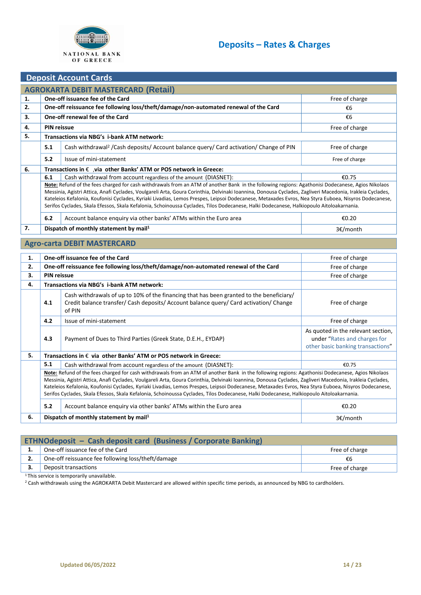

## .**Deposit Account Cards**

| <b>PUPPOIL AUGURILE CALAS</b>              |                                                                                                                                          |                                                                                                                                                           |                |  |  |  |
|--------------------------------------------|------------------------------------------------------------------------------------------------------------------------------------------|-----------------------------------------------------------------------------------------------------------------------------------------------------------|----------------|--|--|--|
| <b>AGROKARTA DEBIT MASTERCARD (Retail)</b> |                                                                                                                                          |                                                                                                                                                           |                |  |  |  |
| 1.                                         |                                                                                                                                          | One-off issuance fee of the Card<br>Free of charge                                                                                                        |                |  |  |  |
| 2.                                         |                                                                                                                                          | One-off reissuance fee following loss/theft/damage/non-automated renewal of the Card                                                                      | €6             |  |  |  |
| 3.                                         |                                                                                                                                          | One-off renewal fee of the Card                                                                                                                           | €6             |  |  |  |
| 4.                                         | <b>PIN reissue</b>                                                                                                                       |                                                                                                                                                           | Free of charge |  |  |  |
| 5.                                         |                                                                                                                                          | Transactions via NBG's i-bank ATM network:                                                                                                                |                |  |  |  |
|                                            | 5.1                                                                                                                                      | Cash withdrawal <sup>2</sup> /Cash deposits/ Account balance query/ Card activation/ Change of PIN                                                        | Free of charge |  |  |  |
|                                            | 5.2                                                                                                                                      | Issue of mini-statement                                                                                                                                   | Free of charge |  |  |  |
| 6.                                         |                                                                                                                                          | Transactions in $\epsilon$ , via other Banks' ATM or POS network in Greece:                                                                               |                |  |  |  |
|                                            | 6.1                                                                                                                                      | Cash withdrawal from account regardless of the amount (DIASNET):                                                                                          | €0.75          |  |  |  |
|                                            |                                                                                                                                          | Note: Refund of the fees charged for cash withdrawals from an ATM of another Bank in the following regions: Agathonisi Dodecanese, Agios Nikolaos         |                |  |  |  |
|                                            |                                                                                                                                          | Messinia, Agistri Attica, Anafi Cyclades, Voulgareli Arta, Goura Corinthia, Delvinaki Ioannina, Donousa Cyclades, Zagliveri Macedonia, Irakleia Cyclades, |                |  |  |  |
|                                            |                                                                                                                                          | Kateleios Kefalonia, Koufonisi Cyclades, Kyriaki Livadias, Lemos Prespes, Leipsoi Dodecanese, Metaxades Evros, Nea Styra Euboea, Nisyros Dodecanese,      |                |  |  |  |
|                                            | Serifos Cyclades, Skala Efessos, Skala Kefalonia, Schoinoussa Cyclades, Tilos Dodecanese, Halki Dodecanese, Halkiopoulo Aitoloakarnania. |                                                                                                                                                           |                |  |  |  |
|                                            | 6.2                                                                                                                                      | Account balance enguiry via other banks' ATMs within the Euro area                                                                                        | €0.20          |  |  |  |
| 7.                                         |                                                                                                                                          | Dispatch of monthly statement by mail <sup>1</sup>                                                                                                        | 3€/month       |  |  |  |

## **Agro-carta DEBIT MASTERCARD**

| 1. |                                                                                                                                                                                                                                                                                                                                                                                                                                                                                                                                                                                                                    | One-off issuance fee of the Card                                                                                                                                                             | Free of charge                                                                                          |  |
|----|--------------------------------------------------------------------------------------------------------------------------------------------------------------------------------------------------------------------------------------------------------------------------------------------------------------------------------------------------------------------------------------------------------------------------------------------------------------------------------------------------------------------------------------------------------------------------------------------------------------------|----------------------------------------------------------------------------------------------------------------------------------------------------------------------------------------------|---------------------------------------------------------------------------------------------------------|--|
| 2. |                                                                                                                                                                                                                                                                                                                                                                                                                                                                                                                                                                                                                    | One-off reissuance fee following loss/theft/damage/non-automated renewal of the Card                                                                                                         | Free of charge                                                                                          |  |
| 3. | <b>PIN reissue</b>                                                                                                                                                                                                                                                                                                                                                                                                                                                                                                                                                                                                 |                                                                                                                                                                                              | Free of charge                                                                                          |  |
| 4. |                                                                                                                                                                                                                                                                                                                                                                                                                                                                                                                                                                                                                    | Transactions via NBG's i-bank ATM network:                                                                                                                                                   |                                                                                                         |  |
|    | 4.1                                                                                                                                                                                                                                                                                                                                                                                                                                                                                                                                                                                                                | Cash withdrawals of up to 10% of the financing that has been granted to the beneficiary/<br>Credit balance transfer/ Cash deposits/ Account balance query/ Card activation/ Change<br>of PIN | Free of charge                                                                                          |  |
|    | 4.2                                                                                                                                                                                                                                                                                                                                                                                                                                                                                                                                                                                                                | Issue of mini-statement                                                                                                                                                                      | Free of charge                                                                                          |  |
|    | 4.3                                                                                                                                                                                                                                                                                                                                                                                                                                                                                                                                                                                                                | Payment of Dues to Third Parties (Greek State, D.E.H., EYDAP)                                                                                                                                | As quoted in the relevant section,<br>under "Rates and charges for<br>other basic banking transactions" |  |
| 5. |                                                                                                                                                                                                                                                                                                                                                                                                                                                                                                                                                                                                                    | Transactions in € via other Banks' ATM or POS network in Greece:                                                                                                                             |                                                                                                         |  |
|    | 5.1                                                                                                                                                                                                                                                                                                                                                                                                                                                                                                                                                                                                                | Cash withdrawal from account regardless of the amount (DIASNET):                                                                                                                             | €0.75                                                                                                   |  |
|    | Note: Refund of the fees charged for cash withdrawals from an ATM of another Bank in the following regions: Agathonisi Dodecanese, Agios Nikolaos<br>Messinia, Agistri Attica, Anafi Cyclades, Voulgareli Arta, Goura Corinthia, Delvinaki Ioannina, Donousa Cyclades, Zagliveri Macedonia, Irakleia Cyclades,<br>Kateleios Kefalonia, Koufonisi Cyclades, Kyriaki Livadias, Lemos Prespes, Leipsoi Dodecanese, Metaxades Evros, Nea Styra Euboea, Nisyros Dodecanese,<br>Serifos Cyclades, Skala Efessos, Skala Kefalonia, Schoinoussa Cyclades, Tilos Dodecanese, Halki Dodecanese, Halkiopoulo Aitoloakarnania. |                                                                                                                                                                                              |                                                                                                         |  |
|    | 5.2                                                                                                                                                                                                                                                                                                                                                                                                                                                                                                                                                                                                                | Account balance enguiry via other banks' ATMs within the Euro area                                                                                                                           | €0.20                                                                                                   |  |
| 6. |                                                                                                                                                                                                                                                                                                                                                                                                                                                                                                                                                                                                                    | Dispatch of monthly statement by mail <sup>1</sup>                                                                                                                                           | 3€/month                                                                                                |  |

| <b>ETHNOdeposit - Cash deposit card (Business / Corporate Banking)</b>                                                                                                                                                               |                |  |  |  |  |
|--------------------------------------------------------------------------------------------------------------------------------------------------------------------------------------------------------------------------------------|----------------|--|--|--|--|
| One-off issuance fee of the Card                                                                                                                                                                                                     | Free of charge |  |  |  |  |
| One-off reissuance fee following loss/theft/damage                                                                                                                                                                                   | €b             |  |  |  |  |
| Deposit transactions                                                                                                                                                                                                                 | Free of charge |  |  |  |  |
| $\blacksquare$ . The contract of the contract of the contract of the contract of the contract of the contract of the contract of the contract of the contract of the contract of the contract of the contract of the contract of the |                |  |  |  |  |

<sup>1</sup> This service is temporarily unavailable.

<sup>2</sup> Cash withdrawals using the AGROKARTA Debit Mastercard are allowed within specific time periods, as announced by NBG to cardholders.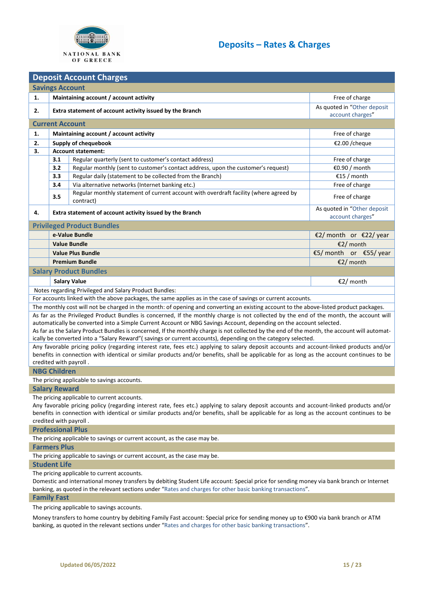

<span id="page-14-0"></span>

| <b>Deposit Account Charges</b>                                            |                                                                           |                                                                                                                                                                        |                             |  |  |  |  |
|---------------------------------------------------------------------------|---------------------------------------------------------------------------|------------------------------------------------------------------------------------------------------------------------------------------------------------------------|-----------------------------|--|--|--|--|
| <b>Savings Account</b>                                                    |                                                                           |                                                                                                                                                                        |                             |  |  |  |  |
| 1.                                                                        |                                                                           | Maintaining account / account activity                                                                                                                                 | Free of charge              |  |  |  |  |
| 2.                                                                        |                                                                           | Extra statement of account activity issued by the Branch                                                                                                               | As quoted in "Other deposit |  |  |  |  |
|                                                                           |                                                                           |                                                                                                                                                                        | account charges"            |  |  |  |  |
|                                                                           | <b>Current Account</b>                                                    |                                                                                                                                                                        |                             |  |  |  |  |
| 1.                                                                        |                                                                           | Maintaining account / account activity                                                                                                                                 | Free of charge              |  |  |  |  |
| 2.                                                                        |                                                                           | Supply of chequebook                                                                                                                                                   | €2.00 /cheque               |  |  |  |  |
| 3.                                                                        |                                                                           | <b>Account statement:</b>                                                                                                                                              |                             |  |  |  |  |
|                                                                           | 3.1                                                                       | Regular quarterly (sent to customer's contact address)                                                                                                                 | Free of charge              |  |  |  |  |
|                                                                           | 3.2                                                                       | Regular monthly (sent to customer's contact address, upon the customer's request)                                                                                      | €0.90 / month               |  |  |  |  |
|                                                                           | 3.3                                                                       | Regular daily (statement to be collected from the Branch)                                                                                                              | €15 / month                 |  |  |  |  |
|                                                                           | 3.4                                                                       | Via alternative networks (Internet banking etc.)<br>Regular monthly statement of current account with overdraft facility (where agreed by                              | Free of charge              |  |  |  |  |
|                                                                           | 3.5                                                                       | contract)                                                                                                                                                              | Free of charge              |  |  |  |  |
| 4.                                                                        |                                                                           | Extra statement of account activity issued by the Branch                                                                                                               | As quoted in "Other deposit |  |  |  |  |
|                                                                           |                                                                           | <b>Privileged Product Bundles</b>                                                                                                                                      | account charges"            |  |  |  |  |
|                                                                           |                                                                           | e-Value Bundle                                                                                                                                                         | €2/ month or €22/ year      |  |  |  |  |
|                                                                           |                                                                           | <b>Value Bundle</b>                                                                                                                                                    | €2/ month                   |  |  |  |  |
|                                                                           |                                                                           | <b>Value Plus Bundle</b>                                                                                                                                               | €5/ month or €55/ year      |  |  |  |  |
|                                                                           |                                                                           | <b>Premium Bundle</b>                                                                                                                                                  | €2/ month                   |  |  |  |  |
|                                                                           |                                                                           | <b>Salary Product Bundles</b>                                                                                                                                          |                             |  |  |  |  |
|                                                                           |                                                                           |                                                                                                                                                                        |                             |  |  |  |  |
|                                                                           |                                                                           | <b>Salary Value</b>                                                                                                                                                    | €2/ month                   |  |  |  |  |
|                                                                           |                                                                           | Notes regarding Privileged and Salary Product Bundles:<br>For accounts linked with the above packages, the same applies as in the case of savings or current accounts. |                             |  |  |  |  |
|                                                                           |                                                                           | The monthly cost will not be charged in the month: of opening and converting an existing account to the above-listed product packages.                                 |                             |  |  |  |  |
|                                                                           |                                                                           | As far as the Privileged Product Bundles is concerned, If the monthly charge is not collected by the end of the month, the account will                                |                             |  |  |  |  |
|                                                                           |                                                                           | automatically be converted into a Simple Current Account or NBG Savings Account, depending on the account selected.                                                    |                             |  |  |  |  |
|                                                                           |                                                                           | As far as the Salary Product Bundles is concerned, If the monthly charge is not collected by the end of the month, the account will automat-                           |                             |  |  |  |  |
|                                                                           |                                                                           | ically be converted into a "Salary Reward" (savings or current accounts), depending on the category selected.                                                          |                             |  |  |  |  |
|                                                                           |                                                                           | Any favorable pricing policy (regarding interest rate, fees etc.) applying to salary deposit accounts and account-linked products and/or                               |                             |  |  |  |  |
|                                                                           |                                                                           | benefits in connection with identical or similar products and/or benefits, shall be applicable for as long as the account continues to be                              |                             |  |  |  |  |
|                                                                           |                                                                           | credited with payroll.                                                                                                                                                 |                             |  |  |  |  |
|                                                                           | <b>NBG Children</b>                                                       |                                                                                                                                                                        |                             |  |  |  |  |
|                                                                           |                                                                           | The pricing applicable to savings accounts.                                                                                                                            |                             |  |  |  |  |
|                                                                           | <b>Salary Reward</b>                                                      | The pricing applicable to current accounts.                                                                                                                            |                             |  |  |  |  |
|                                                                           |                                                                           | Any favorable pricing policy (regarding interest rate, fees etc.) applying to salary deposit accounts and account-linked products and/or                               |                             |  |  |  |  |
|                                                                           |                                                                           | benefits in connection with identical or similar products and/or benefits, shall be applicable for as long as the account continues to be                              |                             |  |  |  |  |
| credited with payroll.                                                    |                                                                           |                                                                                                                                                                        |                             |  |  |  |  |
|                                                                           | <b>Professional Plus</b>                                                  |                                                                                                                                                                        |                             |  |  |  |  |
| The pricing applicable to savings or current account, as the case may be. |                                                                           |                                                                                                                                                                        |                             |  |  |  |  |
|                                                                           | <b>Farmers Plus</b>                                                       |                                                                                                                                                                        |                             |  |  |  |  |
|                                                                           | The pricing applicable to savings or current account, as the case may be. |                                                                                                                                                                        |                             |  |  |  |  |
|                                                                           | <b>Student Life</b>                                                       |                                                                                                                                                                        |                             |  |  |  |  |
|                                                                           |                                                                           | The pricing applicable to current accounts.                                                                                                                            |                             |  |  |  |  |
|                                                                           |                                                                           | Domestic and international money transfers by debiting Student Life account: Special price for sending money via bank branch or Internet                               |                             |  |  |  |  |
|                                                                           |                                                                           | banking, as quoted in the relevant sections under "Rates and charges for other basic banking transactions".                                                            |                             |  |  |  |  |
|                                                                           | <b>Family Fast</b>                                                        |                                                                                                                                                                        |                             |  |  |  |  |
|                                                                           | The pricing applicable to savings accounts.                               |                                                                                                                                                                        |                             |  |  |  |  |

Money transfers to home country by debiting Family Fast account: Special price for sending money up to €900 via bank branch or ΑΤΜ banking, as quoted in the relevant sections under "[Rates and charges for other basic banking transactions](https://www.nbg.gr/english/pricing-of-products-and-services/Documents/Charges%20for%20Other%20Banking%20Transactions%5b2%5d/Other%20Banking%20Transactions%5b1%5d/web_portal_english_timologio_loipwn_ergasiwn.pdf)".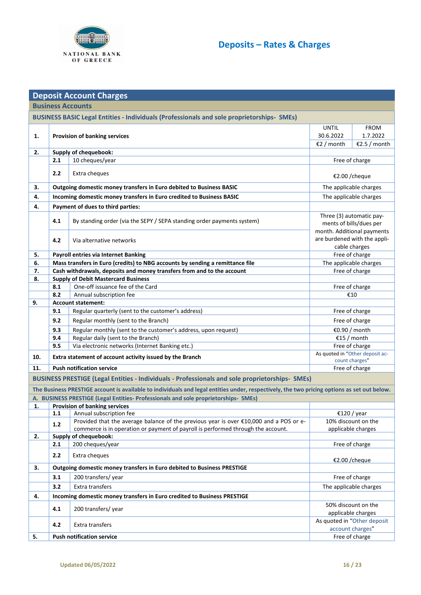

|                                                                                                   |                                                    | <b>Deposit Account Charges</b>                                                                                                              |              |                                                   |  |  |
|---------------------------------------------------------------------------------------------------|----------------------------------------------------|---------------------------------------------------------------------------------------------------------------------------------------------|--------------|---------------------------------------------------|--|--|
|                                                                                                   | <b>Business Accounts</b>                           |                                                                                                                                             |              |                                                   |  |  |
| <b>BUSINESS BASIC Legal Entities - Individuals (Professionals and sole proprietorships- SMEs)</b> |                                                    |                                                                                                                                             |              |                                                   |  |  |
|                                                                                                   |                                                    |                                                                                                                                             | <b>UNTIL</b> | <b>FROM</b>                                       |  |  |
| 1.                                                                                                |                                                    | <b>Provision of banking services</b>                                                                                                        | 30.6.2022    | 1.7.2022                                          |  |  |
|                                                                                                   |                                                    |                                                                                                                                             | €2 / month   | €2.5 / month                                      |  |  |
| 2.                                                                                                |                                                    | Supply of chequebook:                                                                                                                       |              |                                                   |  |  |
|                                                                                                   | 2.1                                                | 10 cheques/year                                                                                                                             |              | Free of charge                                    |  |  |
|                                                                                                   | 2.2                                                | Extra cheques                                                                                                                               |              | €2.00 /cheque                                     |  |  |
| 3.                                                                                                |                                                    | Outgoing domestic money transfers in Euro debited to Business BASIC                                                                         |              | The applicable charges                            |  |  |
| 4.                                                                                                |                                                    | Incoming domestic money transfers in Euro credited to Business BASIC                                                                        |              | The applicable charges                            |  |  |
| 4.                                                                                                |                                                    | Payment of dues to third parties:                                                                                                           |              |                                                   |  |  |
|                                                                                                   |                                                    |                                                                                                                                             |              | Three (3) automatic pay-                          |  |  |
|                                                                                                   | 4.1                                                | By standing order (via the SEPY / SEPA standing order payments system)                                                                      |              | ments of bills/dues per                           |  |  |
|                                                                                                   |                                                    |                                                                                                                                             |              | month. Additional payments                        |  |  |
|                                                                                                   | 4.2                                                | Via alternative networks                                                                                                                    |              | are burdened with the appli-                      |  |  |
| 5.                                                                                                |                                                    | Payroll entries via Internet Banking                                                                                                        |              | cable charges<br>Free of charge                   |  |  |
| 6.                                                                                                |                                                    | Mass transfers in Euro (credits) to NBG accounts by sending a remittance file                                                               |              | The applicable charges                            |  |  |
| 7.                                                                                                |                                                    | Cash withdrawals, deposits and money transfers from and to the account                                                                      |              | Free of charge                                    |  |  |
| 8.                                                                                                |                                                    | <b>Supply of Debit Mastercard Business</b>                                                                                                  |              |                                                   |  |  |
|                                                                                                   | 8.1                                                | One-off issuance fee of the Card                                                                                                            |              | Free of charge                                    |  |  |
|                                                                                                   | 8.2                                                | Annual subscription fee                                                                                                                     |              | €10                                               |  |  |
| 9.                                                                                                |                                                    | <b>Account statement:</b>                                                                                                                   |              |                                                   |  |  |
|                                                                                                   | 9.1                                                | Regular quarterly (sent to the customer's address)                                                                                          |              | Free of charge                                    |  |  |
|                                                                                                   | 9.2                                                | Regular monthly (sent to the Branch)                                                                                                        |              | Free of charge                                    |  |  |
|                                                                                                   | 9.3                                                | Regular monthly (sent to the customer's address, upon request)                                                                              |              | €0.90 / month                                     |  |  |
|                                                                                                   | 9.4                                                | Regular daily (sent to the Branch)                                                                                                          |              | €15 / month                                       |  |  |
|                                                                                                   | 9.5                                                | Via electronic networks (Internet Banking etc.)                                                                                             |              | Free of charge<br>As quoted in "Other deposit ac- |  |  |
| 10.                                                                                               |                                                    | Extra statement of account activity issued by the Branch                                                                                    |              | count charges"                                    |  |  |
| 11.                                                                                               | <b>Push notification service</b><br>Free of charge |                                                                                                                                             |              |                                                   |  |  |
|                                                                                                   |                                                    | <b>BUSINESS PRESTIGE (Legal Entities - Individuals - Professionals and sole proprietorships- SMEs)</b>                                      |              |                                                   |  |  |
|                                                                                                   |                                                    | The Business PRESTIGE account is available to individuals and legal entities under, respectively, the two pricing options as set out below. |              |                                                   |  |  |
|                                                                                                   |                                                    | A. BUSINESS PRESTIGE (Legal Entities- Professionals and sole proprietorships- SMEs)                                                         |              |                                                   |  |  |
|                                                                                                   | 1.1                                                | 1. Provision of banking services<br>Annual subscription fee                                                                                 |              | €120 / year                                       |  |  |
|                                                                                                   |                                                    | Provided that the average balance of the previous year is over €10,000 and a POS or e-                                                      |              | 10% discount on the                               |  |  |
|                                                                                                   | $1.2$                                              | commerce is in operation or payment of payroll is performed through the account.                                                            |              | applicable charges                                |  |  |
| 2.                                                                                                |                                                    | Supply of chequebook:                                                                                                                       |              |                                                   |  |  |
|                                                                                                   | 2.1                                                | 200 cheques/year                                                                                                                            |              | Free of charge                                    |  |  |
|                                                                                                   | 2.2                                                | Extra cheques                                                                                                                               |              | €2.00 /cheque                                     |  |  |
| 3.                                                                                                |                                                    | Outgoing domestic money transfers in Euro debited to Business PRESTIGE                                                                      |              |                                                   |  |  |
|                                                                                                   | 3.1                                                | 200 transfers/year                                                                                                                          |              | Free of charge                                    |  |  |
|                                                                                                   | 3.2                                                | Extra transfers                                                                                                                             |              | The applicable charges                            |  |  |
| 4.                                                                                                |                                                    | Incoming domestic money transfers in Euro credited to Business PRESTIGE                                                                     |              |                                                   |  |  |
|                                                                                                   | 4.1                                                | 200 transfers/year                                                                                                                          |              | 50% discount on the                               |  |  |
|                                                                                                   |                                                    |                                                                                                                                             |              | applicable charges                                |  |  |
|                                                                                                   | 4.2                                                | Extra transfers                                                                                                                             |              | As quoted in "Other deposit                       |  |  |
| 5.                                                                                                |                                                    | <b>Push notification service</b>                                                                                                            |              | account charges"<br>Free of charge                |  |  |
|                                                                                                   |                                                    |                                                                                                                                             |              |                                                   |  |  |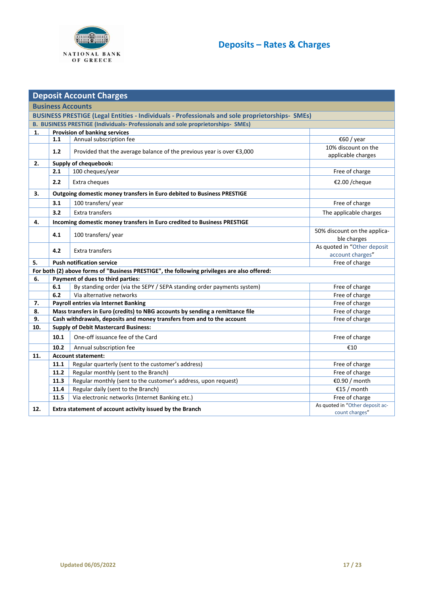

<span id="page-16-0"></span>

|     | <b>Deposit Account Charges</b>                                                                  |                                                                                             |                                                   |  |  |  |  |
|-----|-------------------------------------------------------------------------------------------------|---------------------------------------------------------------------------------------------|---------------------------------------------------|--|--|--|--|
|     | <b>Business Accounts</b>                                                                        |                                                                                             |                                                   |  |  |  |  |
|     | BUSINESS PRESTIGE (Legal Entities - Individuals - Professionals and sole proprietorships- SMEs) |                                                                                             |                                                   |  |  |  |  |
|     | B. BUSINESS PRESTIGE (Individuals- Professionals and sole proprietorships- SMEs)                |                                                                                             |                                                   |  |  |  |  |
| 1.  | <b>Provision of banking services</b>                                                            |                                                                                             |                                                   |  |  |  |  |
|     | 1.1                                                                                             | Annual subscription fee                                                                     | €60 / year                                        |  |  |  |  |
|     | 1.2                                                                                             | Provided that the average balance of the previous year is over €3,000                       | 10% discount on the<br>applicable charges         |  |  |  |  |
| 2.  |                                                                                                 | Supply of chequebook:                                                                       |                                                   |  |  |  |  |
|     | 2.1                                                                                             | 100 cheques/year                                                                            | Free of charge                                    |  |  |  |  |
|     | 2.2                                                                                             | Extra cheques                                                                               | €2.00 /cheque                                     |  |  |  |  |
| 3.  |                                                                                                 | Outgoing domestic money transfers in Euro debited to Business PRESTIGE                      |                                                   |  |  |  |  |
|     | 3.1                                                                                             | 100 transfers/year                                                                          | Free of charge                                    |  |  |  |  |
|     | 3.2                                                                                             | Extra transfers                                                                             | The applicable charges                            |  |  |  |  |
| 4.  |                                                                                                 | Incoming domestic money transfers in Euro credited to Business PRESTIGE                     |                                                   |  |  |  |  |
|     | 4.1                                                                                             | 100 transfers/year                                                                          | 50% discount on the applica-                      |  |  |  |  |
|     |                                                                                                 |                                                                                             | ble charges                                       |  |  |  |  |
|     | 4.2                                                                                             | Extra transfers                                                                             | As quoted in "Other deposit                       |  |  |  |  |
| 5.  |                                                                                                 | <b>Push notification service</b>                                                            | account charges"<br>Free of charge                |  |  |  |  |
|     |                                                                                                 | For both (2) above forms of "Business PRESTIGE", the following privileges are also offered: |                                                   |  |  |  |  |
| 6.  |                                                                                                 | Payment of dues to third parties:                                                           |                                                   |  |  |  |  |
|     | 6.1                                                                                             | By standing order (via the SEPY / SEPA standing order payments system)                      | Free of charge                                    |  |  |  |  |
|     | 6.2                                                                                             | Via alternative networks                                                                    | Free of charge                                    |  |  |  |  |
| 7.  |                                                                                                 | <b>Payroll entries via Internet Banking</b>                                                 | Free of charge                                    |  |  |  |  |
| 8.  |                                                                                                 | Mass transfers in Euro (credits) to NBG accounts by sending a remittance file               | Free of charge                                    |  |  |  |  |
| 9.  |                                                                                                 | Cash withdrawals, deposits and money transfers from and to the account                      | Free of charge                                    |  |  |  |  |
| 10. |                                                                                                 | <b>Supply of Debit Mastercard Business:</b>                                                 |                                                   |  |  |  |  |
|     | 10.1                                                                                            | One-off issuance fee of the Card                                                            | Free of charge                                    |  |  |  |  |
|     | 10.2                                                                                            | Annual subscription fee                                                                     | €10                                               |  |  |  |  |
| 11. | <b>Account statement:</b>                                                                       |                                                                                             |                                                   |  |  |  |  |
|     | 11.1                                                                                            | Regular quarterly (sent to the customer's address)                                          | Free of charge                                    |  |  |  |  |
|     | 11.2                                                                                            | Regular monthly (sent to the Branch)                                                        | Free of charge                                    |  |  |  |  |
|     | 11.3                                                                                            | Regular monthly (sent to the customer's address, upon request)                              | €0.90 / month                                     |  |  |  |  |
|     | 11.4                                                                                            | Regular daily (sent to the Branch)                                                          | €15 / month                                       |  |  |  |  |
|     | 11.5                                                                                            | Via electronic networks (Internet Banking etc.)                                             | Free of charge                                    |  |  |  |  |
| 12. |                                                                                                 | Extra statement of account activity issued by the Branch                                    | As quoted in "Other deposit ac-<br>count charges" |  |  |  |  |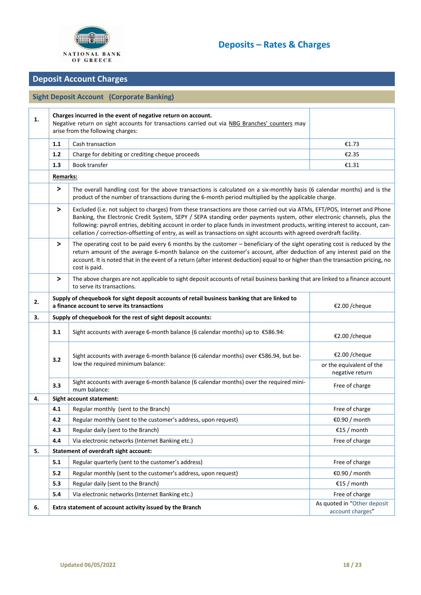

## **Deposit Account Charges**

## **Sight Deposit Account (Corporate Banking)**

| 1. |                                                                                                                                                                                                                                            | Charges incurred in the event of negative return on account.<br>Negative return on sight accounts for transactions carried out via NBG Branches' counters may<br>arise from the following charges:                                                                                                                                                                                                                                                                                                              |                                                              |  |  |
|----|--------------------------------------------------------------------------------------------------------------------------------------------------------------------------------------------------------------------------------------------|-----------------------------------------------------------------------------------------------------------------------------------------------------------------------------------------------------------------------------------------------------------------------------------------------------------------------------------------------------------------------------------------------------------------------------------------------------------------------------------------------------------------|--------------------------------------------------------------|--|--|
|    | 1.1                                                                                                                                                                                                                                        | Cash transaction                                                                                                                                                                                                                                                                                                                                                                                                                                                                                                | €1.73                                                        |  |  |
|    | 1.2                                                                                                                                                                                                                                        | Charge for debiting or crediting cheque proceeds                                                                                                                                                                                                                                                                                                                                                                                                                                                                | €2.35                                                        |  |  |
|    | 1.3                                                                                                                                                                                                                                        | <b>Book transfer</b>                                                                                                                                                                                                                                                                                                                                                                                                                                                                                            | €1.31                                                        |  |  |
|    | <b>Remarks:</b>                                                                                                                                                                                                                            |                                                                                                                                                                                                                                                                                                                                                                                                                                                                                                                 |                                                              |  |  |
|    | $\geq$<br>The overall handling cost for the above transactions is calculated on a six-monthly basis (6 calendar months) and is the<br>product of the number of transactions during the 6-month period multiplied by the applicable charge. |                                                                                                                                                                                                                                                                                                                                                                                                                                                                                                                 |                                                              |  |  |
|    | $\, >$                                                                                                                                                                                                                                     | Excluded (i.e. not subject to charges) from these transactions are those carried out via ATMs, EFT/POS, Internet and Phone<br>Banking, the Electronic Credit System, SEPY / SEPA standing order payments system, other electronic channels, plus the<br>following: payroll entries, debiting account in order to place funds in investment products, writing interest to account, can-<br>cellation / correction-offsetting of entry, as well as transactions on sight accounts with agreed overdraft facility. |                                                              |  |  |
|    | >                                                                                                                                                                                                                                          | The operating cost to be paid every 6 months by the customer - beneficiary of the sight operating cost is reduced by the<br>return amount of the average 6-month balance on the customer's account, after deduction of any interest paid on the<br>account. It is noted that in the event of a return (after interest deduction) equal to or higher than the transaction pricing, no<br>cost is paid.                                                                                                           |                                                              |  |  |
|    | $\, >$                                                                                                                                                                                                                                     | The above charges are not applicable to sight deposit accounts of retail business banking that are linked to a finance account<br>to serve its transactions.                                                                                                                                                                                                                                                                                                                                                    |                                                              |  |  |
| 2. |                                                                                                                                                                                                                                            | Supply of chequebook for sight deposit accounts of retail business banking that are linked to<br>a finance account to serve its transactions                                                                                                                                                                                                                                                                                                                                                                    | €2.00 /cheque                                                |  |  |
| 3. |                                                                                                                                                                                                                                            | Supply of chequebook for the rest of sight deposit accounts:                                                                                                                                                                                                                                                                                                                                                                                                                                                    |                                                              |  |  |
|    | 3.1                                                                                                                                                                                                                                        | Sight accounts with average 6-month balance (6 calendar months) up to $\epsilon$ 586.94:                                                                                                                                                                                                                                                                                                                                                                                                                        | €2.00 /cheque                                                |  |  |
|    | 3.2                                                                                                                                                                                                                                        | Sight accounts with average 6-month balance (6 calendar months) over €586.94, but be-<br>low the required minimum balance:                                                                                                                                                                                                                                                                                                                                                                                      | €2.00 /cheque<br>or the equivalent of the<br>negative return |  |  |
|    | 3.3                                                                                                                                                                                                                                        | Sight accounts with average 6-month balance (6 calendar months) over the required mini-<br>mum balance:                                                                                                                                                                                                                                                                                                                                                                                                         | Free of charge                                               |  |  |
| 4. |                                                                                                                                                                                                                                            | Sight account statement:                                                                                                                                                                                                                                                                                                                                                                                                                                                                                        |                                                              |  |  |
|    | 4.1                                                                                                                                                                                                                                        | Regular monthly (sent to the Branch)                                                                                                                                                                                                                                                                                                                                                                                                                                                                            | Free of charge                                               |  |  |
|    | 4.2                                                                                                                                                                                                                                        | Regular monthly (sent to the customer's address, upon request)                                                                                                                                                                                                                                                                                                                                                                                                                                                  | €0.90 / month                                                |  |  |
|    | 4.3                                                                                                                                                                                                                                        | Regular daily (sent to the Branch)                                                                                                                                                                                                                                                                                                                                                                                                                                                                              | €15 / month                                                  |  |  |
|    | 4.4                                                                                                                                                                                                                                        | Via electronic networks (Internet Banking etc.)                                                                                                                                                                                                                                                                                                                                                                                                                                                                 | Free of charge                                               |  |  |
| 5. |                                                                                                                                                                                                                                            | <b>Statement of overdraft sight account:</b>                                                                                                                                                                                                                                                                                                                                                                                                                                                                    |                                                              |  |  |
|    | 5.1                                                                                                                                                                                                                                        | Regular quarterly (sent to the customer's address)                                                                                                                                                                                                                                                                                                                                                                                                                                                              | Free of charge                                               |  |  |
|    | 5.2                                                                                                                                                                                                                                        | Regular monthly (sent to the customer's address, upon request)                                                                                                                                                                                                                                                                                                                                                                                                                                                  | €0.90 / month                                                |  |  |
|    | 5.3                                                                                                                                                                                                                                        | Regular daily (sent to the Branch)                                                                                                                                                                                                                                                                                                                                                                                                                                                                              | €15 / month                                                  |  |  |
|    | 5.4                                                                                                                                                                                                                                        | Via electronic networks (Internet Banking etc.)                                                                                                                                                                                                                                                                                                                                                                                                                                                                 | Free of charge                                               |  |  |
| 6. |                                                                                                                                                                                                                                            | Extra statement of account activity issued by the Branch                                                                                                                                                                                                                                                                                                                                                                                                                                                        | As quoted in "Other deposit<br>account charges"              |  |  |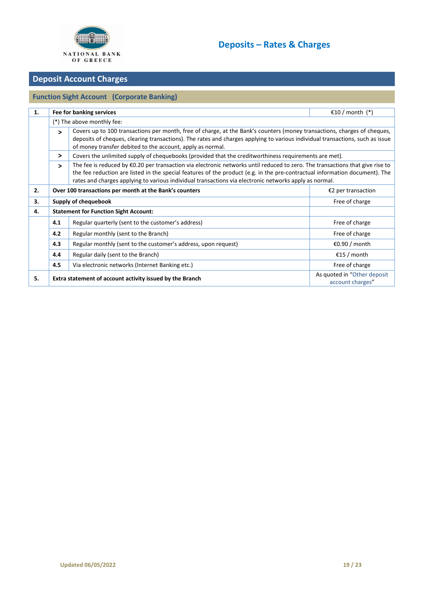

### **Deposit Account Charges**

### **Function Sight Account (Corporate Banking) 1. Fee for banking services** €10 / month (\*) (\*) The above monthly fee:  **>** Covers up to 100 transactions per month, free of charge, at the Bank's counters (money transactions, charges of cheques, deposits of cheques, clearing transactions). The rates and charges applying to various individual transactions, such as issue of money transfer debited to the account, apply as normal.  $\triangleright$  Covers the unlimited supply of chequebooks (provided that the creditworthiness requirements are met).  **>** The fee is reduced by €0.20 per transaction via electronic networks until reduced to zero. The transactions that give rise to the fee reduction are listed in the special features of the product (e.g. in the pre-contractual information document). The rates and charges applying to various individual transactions via electronic networks apply as normal. **2. Over 100 transactions per month at the Bank's counters €2** per transaction **€2** per transaction **3. Supply of chequebook Free of charge Free of charge 4. Statement for Function Sight Account: 4.1** Regular quarterly (sent to the customer's address) **Free of charge in the customer's address Free of charge 4.2** Regular monthly (sent to the Branch) **Free of charge vertical contract of charge** Free of charge **4.3** Regular monthly (sent to the customer's address, upon request) **Example 1** €0.90 / month **4.4** Regular daily (sent to the Branch) **E15** / month **4.5** Via electronic networks (Internet Banking etc.) The state of charge state of charge state of charge state of charge **5. Extra statement of account activity issued by the Branch <b>As a count activity issued by the Branch As quoted in** "Other deposit [account charges](#page-19-0)"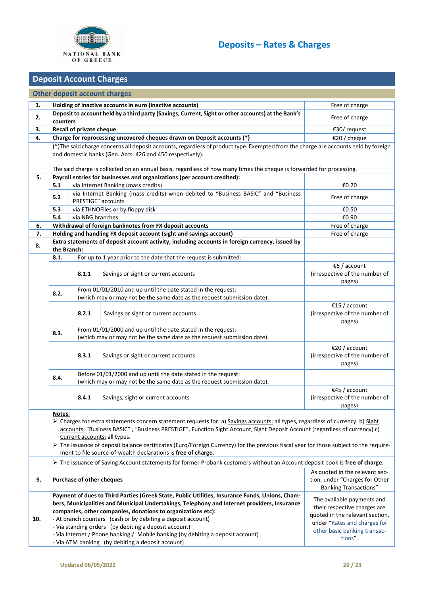

#### <span id="page-19-0"></span>**Deposit Account Charges Other deposit account charges 1. Holding of inactive accounts in euro (inactive accounts)** Free of charge **Free of charge 2. Deposit to account held by a third party (Savings, Current, Sight or other accounts) at the Bank's counters** Free of charge **3. Recall of private cheque E30/ request €30/** request **4. Charge for reprocessing uncovered cheques drawn on Deposit accounts (\*)** €20 / cheque (\*)The said charge concerns all deposit accounts, regardless of product type. Exempted from the charge are accounts held by foreign and domestic banks (Gen. Accs. 426 and 450 respectively). The said charge is collected on an annual basis, regardless of how many times the cheque is forwarded for processing. **5. Payroll entries for businesses and organizations (per account credited): 5.1** via Internet Banking (mass credits) €0.20 **5.2** via Internet Banking (mass credits) when debited to "Business BASIC" and "Business Free of charge Pree of charge **5.3** via ETHNOFiles or by floppy disk €0.50 **5.4** via NBG branches €0.90 **6. Withdrawal of foreign banknotes from FX deposit accounts Example 20 and 1** Free of charge **7. Holding and handling FX deposit account (sight and savings account) Free of charge Free of charge 1 8. Extra statements of deposit account activity, including accounts in foreign currency, issued by the Branch: 8.1.** For up to 1 year prior to the date that the request is submitted: 8.1.1 Savings or sight or current accounts €5 / account (irrespective of the number of pages) **8.2.** From 01/01/2010 and up until the date stated in the request: (which may or may not be the same date as the request submission date). **8.2.1** Savings or sight or current accounts €15 / account (irrespective of the number of pages) **8.3.** From 01/01/2000 and up until the date stated in the request: (which may or may not be the same date as the request submission date). **8.3.1** Savings or sight or current accounts €20 / account (irrespective of the number of pages) **8.4.** Before 01/01/2000 and up until the date stated in the request: (which may or may not be the same date as the request submission date). 8.4.1 Savings, sight or current accounts €45 / account (irrespective of the number of pages) **Notes**: ▶ Charges for extra statements concern statement requests for: a) Savings accounts: all types, regardless of currency. b) Sight accounts: "Business BASIC" , "Business PRESTIGE", Function Sight Account, Sight Deposit Account (regardless of currency) c) Current accounts: all types.  $\triangleright$  The issuance of deposit balance certificates (Euro/Foreign Currency) for the previous fiscal year for those subject to the requirement to file source-of-wealth declarations is **free of charge.** ➢ The issuance of Saving Account statements for former Probank customers without an Account deposit book is **free of charge. 9. Purchase of other cheques**  As quoted in the relevant section, under "Charges for Other Banking Transactions" **10. Payment of dues to Third Parties (Greek State, Public Utilities, Insurance Funds, Unions, Chambers, Municipalities and Municipal Undertakings, Telephony and Internet providers, Insurance companies, other companies, donations to organizations etc):** - At branch counters (cash or by debiting a deposit account) - Via standing orders (by debiting a deposit account) - Via Internet / Phone banking / Mobile banking (by debiting a deposit account) - Via ATM banking (by debiting a deposit account) The available payments and their respective charges are quoted in the relevant section, under "[Rates and charges for](https://www.nbg.gr/english/pricing-of-products-and-services/Documents/Charges%20for%20Other%20Banking%20Transactions%5b2%5d/Other%20Banking%20Transactions%5b1%5d/web_portal_english_timologio_loipwn_ergasiwn.pdf)  [other basic banking transac](https://www.nbg.gr/english/pricing-of-products-and-services/Documents/Charges%20for%20Other%20Banking%20Transactions%5b2%5d/Other%20Banking%20Transactions%5b1%5d/web_portal_english_timologio_loipwn_ergasiwn.pdf)[tions](https://www.nbg.gr/english/pricing-of-products-and-services/Documents/Charges%20for%20Other%20Banking%20Transactions%5b2%5d/Other%20Banking%20Transactions%5b1%5d/web_portal_english_timologio_loipwn_ergasiwn.pdf)".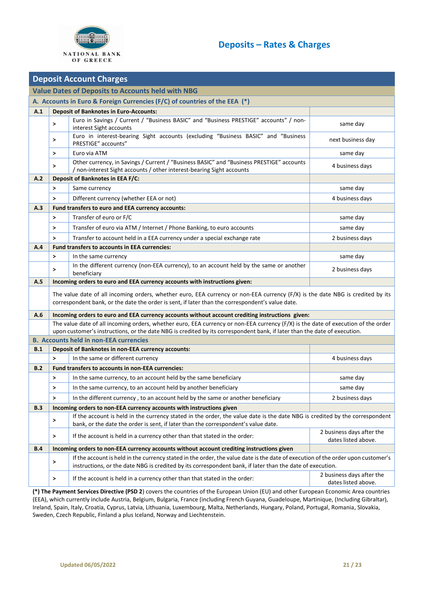

|            | <b>Deposit Account Charges</b>                                             |                                                                                                                                                                                                                                                                |                                                  |  |  |  |  |
|------------|----------------------------------------------------------------------------|----------------------------------------------------------------------------------------------------------------------------------------------------------------------------------------------------------------------------------------------------------------|--------------------------------------------------|--|--|--|--|
|            | <b>Value Dates of Deposits to Accounts held with NBG</b>                   |                                                                                                                                                                                                                                                                |                                                  |  |  |  |  |
|            | A. Accounts in Euro & Foreign Currencies (F/C) of countries of the EEA (*) |                                                                                                                                                                                                                                                                |                                                  |  |  |  |  |
| A.1        | <b>Deposit of Banknotes in Euro-Accounts:</b>                              |                                                                                                                                                                                                                                                                |                                                  |  |  |  |  |
|            | $\geq$                                                                     | Euro in Savings / Current / "Business BASIC" and "Business PRESTIGE" accounts" / non-<br>interest Sight accounts                                                                                                                                               | same day                                         |  |  |  |  |
|            | >                                                                          | Euro in interest-bearing Sight accounts (excluding "Business BASIC" and "Business<br>PRESTIGE" accounts"                                                                                                                                                       | next business day                                |  |  |  |  |
|            | $\geq$                                                                     | Euro via ATM                                                                                                                                                                                                                                                   | same day                                         |  |  |  |  |
|            | $\geq$                                                                     | Other currency, in Savings / Current / "Business BASIC" and "Business PRESTIGE" accounts<br>/ non-interest Sight accounts / other interest-bearing Sight accounts                                                                                              | 4 business days                                  |  |  |  |  |
| A.2        |                                                                            | <b>Deposit of Banknotes in EEA F/C:</b>                                                                                                                                                                                                                        |                                                  |  |  |  |  |
|            | $\,>\,$                                                                    | Same currency                                                                                                                                                                                                                                                  | same day                                         |  |  |  |  |
|            | $\geq$                                                                     | Different currency (whether EEA or not)                                                                                                                                                                                                                        | 4 business days                                  |  |  |  |  |
| A.3        |                                                                            | Fund transfers to euro and EEA currency accounts:                                                                                                                                                                                                              |                                                  |  |  |  |  |
|            | $\geq$                                                                     | Transfer of euro or F/C                                                                                                                                                                                                                                        | same day                                         |  |  |  |  |
|            | >                                                                          | Transfer of euro via ATM / Internet / Phone Banking, to euro accounts                                                                                                                                                                                          | same day                                         |  |  |  |  |
|            | $\geq$                                                                     | Transfer to account held in a EEA currency under a special exchange rate                                                                                                                                                                                       | 2 business days                                  |  |  |  |  |
| A.4        |                                                                            | <b>Fund transfers to accounts in EEA currencies:</b>                                                                                                                                                                                                           |                                                  |  |  |  |  |
|            | $\,>\,$                                                                    | In the same currency                                                                                                                                                                                                                                           | same day                                         |  |  |  |  |
|            | $\geq$                                                                     | In the different currency (non-EEA currency), to an account held by the same or another<br>beneficiary                                                                                                                                                         | 2 business days                                  |  |  |  |  |
| A.5        |                                                                            | Incoming orders to euro and EEA currency accounts with instructions given:                                                                                                                                                                                     |                                                  |  |  |  |  |
|            |                                                                            | The value date of all incoming orders, whether euro, EEA currency or non-EEA currency (F/X) is the date NBG is credited by its<br>correspondent bank, or the date the order is sent, if later than the correspondent's value date.                             |                                                  |  |  |  |  |
| A.6        |                                                                            | Incoming orders to euro and EEA currency accounts without account crediting instructions given:                                                                                                                                                                |                                                  |  |  |  |  |
|            |                                                                            | The value date of all incoming orders, whether euro, EEA currency or non-EEA currency (F/X) is the date of execution of the order<br>upon customer's instructions, or the date NBG is credited by its correspondent bank, if later than the date of execution. |                                                  |  |  |  |  |
|            |                                                                            | <b>B. Accounts held in non-EEA currencies</b>                                                                                                                                                                                                                  |                                                  |  |  |  |  |
| B.1        |                                                                            | Deposit of Banknotes in non-EEA currency accounts:                                                                                                                                                                                                             |                                                  |  |  |  |  |
|            | $\rightarrow$                                                              | In the same or different currency                                                                                                                                                                                                                              | 4 business days                                  |  |  |  |  |
| B.2        |                                                                            | Fund transfers to accounts in non-EEA currencies:                                                                                                                                                                                                              |                                                  |  |  |  |  |
|            | $\geq$                                                                     | In the same currency, to an account held by the same beneficiary                                                                                                                                                                                               | same day                                         |  |  |  |  |
|            | >                                                                          | In the same currency, to an account held by another beneficiary                                                                                                                                                                                                | same day                                         |  |  |  |  |
|            | $\geq$                                                                     | In the different currency, to an account held by the same or another beneficiary                                                                                                                                                                               | 2 business days                                  |  |  |  |  |
| B.3        |                                                                            | Incoming orders to non-EEA currency accounts with instructions given                                                                                                                                                                                           |                                                  |  |  |  |  |
|            | >                                                                          | If the account is held in the currency stated in the order, the value date is the date NBG is credited by the correspondent<br>bank, or the date the order is sent, if later than the correspondent's value date.                                              |                                                  |  |  |  |  |
|            | $\geq$                                                                     | If the account is held in a currency other than that stated in the order:                                                                                                                                                                                      | 2 business days after the<br>dates listed above. |  |  |  |  |
| <b>B.4</b> |                                                                            | Incoming orders to non-EEA currency accounts without account crediting instructions given                                                                                                                                                                      |                                                  |  |  |  |  |
|            | $\mathbf{L}$                                                               | If the account is held in the currency stated in the order, the value date is the date of execution of the order upon customer's<br>instructions, or the date NBG is credited by its correspondent bank, if later than the date of execution.                  |                                                  |  |  |  |  |
|            | $\geq$                                                                     | If the account is held in a currency other than that stated in the order:                                                                                                                                                                                      | 2 business days after the<br>dates listed above. |  |  |  |  |

**(\*) The Payment Services Directive (PSD 2**) covers the countries of the European Union (EU) and other European Economic Area countries (EEA), which currently include Austria, Belgium, Bulgaria, France (including French Guyana, Guadeloupe, Martinique, (Including Gibraltar), Ireland, Spain, Italy, Croatia, Cyprus, Latvia, Lithuania, Luxembourg, Malta, Netherlands, Hungary, Poland, Portugal, Romania, Slovakia, Sweden, Czech Republic, Finland a plus Iceland, Norway and Liechtenstein.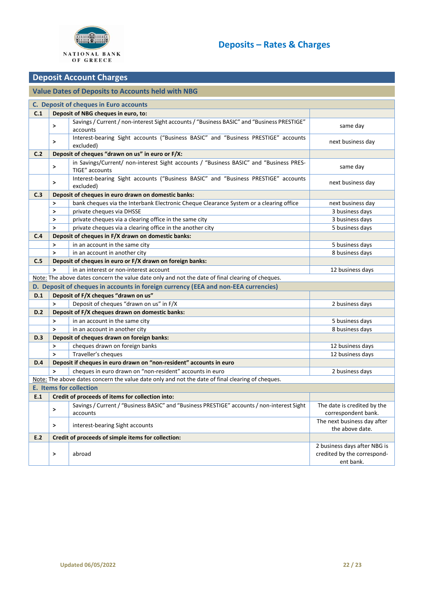

## **Deposit Account Charges**

## **Value Dates of Deposits to Accounts held with NBG**

| C. Deposit of cheques in Euro accounts                                                           |                                                                                                  |                                                                                                          |                                                                          |  |
|--------------------------------------------------------------------------------------------------|--------------------------------------------------------------------------------------------------|----------------------------------------------------------------------------------------------------------|--------------------------------------------------------------------------|--|
| Deposit of NBG cheques in euro, to:<br>C.1                                                       |                                                                                                  |                                                                                                          |                                                                          |  |
|                                                                                                  | >                                                                                                | Savings / Current / non-interest Sight accounts / "Business BASIC" and "Business PRESTIGE"<br>accounts   | same day                                                                 |  |
|                                                                                                  | $\,>\,$                                                                                          | Interest-bearing Sight accounts ("Business BASIC" and "Business PRESTIGE" accounts<br>excluded)          | next business day                                                        |  |
| C.2                                                                                              | Deposit of cheques "drawn on us" in euro or F/X:                                                 |                                                                                                          |                                                                          |  |
|                                                                                                  | >                                                                                                | in Savings/Current/ non-interest Sight accounts / "Business BASIC" and "Business PRES-<br>TIGE" accounts | same day                                                                 |  |
|                                                                                                  | $\,>\,$                                                                                          | Interest-bearing Sight accounts ("Business BASIC" and "Business PRESTIGE" accounts<br>excluded)          | next business day                                                        |  |
| C.3                                                                                              | Deposit of cheques in euro drawn on domestic banks:                                              |                                                                                                          |                                                                          |  |
|                                                                                                  | >                                                                                                | bank cheques via the Interbank Electronic Cheque Clearance System or a clearing office                   | next business day                                                        |  |
|                                                                                                  | $\,>\,$                                                                                          | private cheques via DHSSE                                                                                | 3 business days                                                          |  |
|                                                                                                  | >                                                                                                | private cheques via a clearing office in the same city                                                   | 3 business days                                                          |  |
|                                                                                                  | $\geq$                                                                                           | private cheques via a clearing office in the another city                                                | 5 business days                                                          |  |
| C.4                                                                                              |                                                                                                  | Deposit of cheques in F/X drawn on domestic banks:                                                       |                                                                          |  |
|                                                                                                  | $\geq$                                                                                           | in an account in the same city                                                                           | 5 business days                                                          |  |
|                                                                                                  | $\geq$                                                                                           | in an account in another city                                                                            | 8 business days                                                          |  |
| C.5                                                                                              |                                                                                                  | Deposit of cheques in euro or F/X drawn on foreign banks:                                                |                                                                          |  |
|                                                                                                  | >                                                                                                | in an interest or non-interest account                                                                   | 12 business days                                                         |  |
|                                                                                                  | Note: The above dates concern the value date only and not the date of final clearing of cheques. |                                                                                                          |                                                                          |  |
| D. Deposit of cheques in accounts in foreign currency (EEA and non-EEA currencies)               |                                                                                                  |                                                                                                          |                                                                          |  |
| D.1                                                                                              |                                                                                                  | Deposit of F/X cheques "drawn on us"                                                                     |                                                                          |  |
|                                                                                                  | $\geq$                                                                                           | Deposit of cheques "drawn on us" in F/X                                                                  | 2 business days                                                          |  |
| <b>D.2</b>                                                                                       | Deposit of F/X cheques drawn on domestic banks:                                                  |                                                                                                          |                                                                          |  |
|                                                                                                  | $\geq$                                                                                           | in an account in the same city                                                                           | 5 business days                                                          |  |
|                                                                                                  | $\geq$                                                                                           | in an account in another city                                                                            | 8 business days                                                          |  |
| D.3                                                                                              |                                                                                                  | Deposit of cheques drawn on foreign banks:                                                               |                                                                          |  |
|                                                                                                  | >                                                                                                | cheques drawn on foreign banks                                                                           | 12 business days                                                         |  |
|                                                                                                  | $\geq$                                                                                           | Traveller's cheques                                                                                      | 12 business days                                                         |  |
| <b>D.4</b>                                                                                       |                                                                                                  | Deposit if cheques in euro drawn on "non-resident" accounts in euro                                      |                                                                          |  |
|                                                                                                  |                                                                                                  | cheques in euro drawn on "non-resident" accounts in euro                                                 | 2 business days                                                          |  |
| Note: The above dates concern the value date only and not the date of final clearing of cheques. |                                                                                                  |                                                                                                          |                                                                          |  |
| <b>E.</b> Items for collection                                                                   |                                                                                                  |                                                                                                          |                                                                          |  |
| E.1                                                                                              |                                                                                                  | Credit of proceeds of items for collection into:                                                         |                                                                          |  |
|                                                                                                  | >                                                                                                | Savings / Current / "Business BASIC" and "Business PRESTIGE" accounts / non-interest Sight<br>accounts   | The date is credited by the<br>correspondent bank.                       |  |
|                                                                                                  | >                                                                                                | interest-bearing Sight accounts                                                                          | The next business day after<br>the above date.                           |  |
| E.2                                                                                              | Credit of proceeds of simple items for collection:                                               |                                                                                                          |                                                                          |  |
|                                                                                                  | >                                                                                                | abroad                                                                                                   | 2 business days after NBG is<br>credited by the correspond-<br>ent bank. |  |